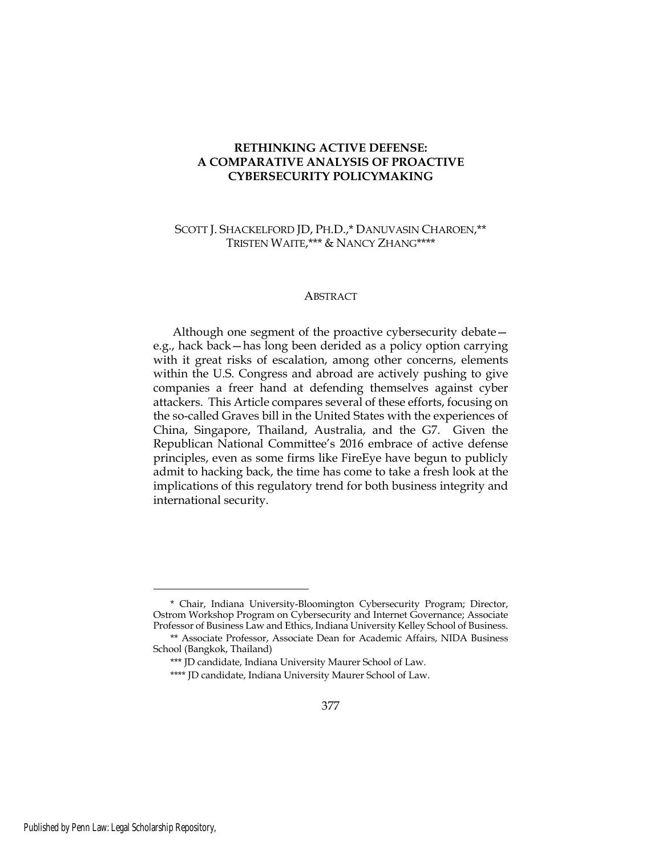## **RETHINKING ACTIVE DEFENSE: A COMPARATIVE ANALYSIS OF PROACTIVE CYBERSECURITY POLICYMAKING**

## SCOTT J. SHACKELFORD JD, PH.D.,\* DANUVASIN CHAROEN,\*\* TRISTEN WAITE,\*\*\* & NANCY ZHANG\*\*\*\*

## **ABSTRACT**

Although one segment of the proactive cybersecurity debate e.g., hack back—has long been derided as a policy option carrying with it great risks of escalation, among other concerns, elements within the U.S. Congress and abroad are actively pushing to give companies a freer hand at defending themselves against cyber attackers. This Article compares several of these efforts, focusing on the so-called Graves bill in the United States with the experiences of China, Singapore, Thailand, Australia, and the G7. Given the Republican National Committee's 2016 embrace of active defense principles, even as some firms like FireEye have begun to publicly admit to hacking back, the time has come to take a fresh look at the implications of this regulatory trend for both business integrity and international security.

<sup>\*</sup> Chair, Indiana University-Bloomington Cybersecurity Program; Director, Ostrom Workshop Program on Cybersecurity and Internet Governance; Associate Professor of Business Law and Ethics, Indiana University Kelley School of Business.

<sup>\*\*</sup> Associate Professor, Associate Dean for Academic Affairs, NIDA Business School (Bangkok, Thailand)

<sup>\*\*\*</sup> JD candidate, Indiana University Maurer School of Law.

<sup>\*\*\*\*</sup> JD candidate, Indiana University Maurer School of Law.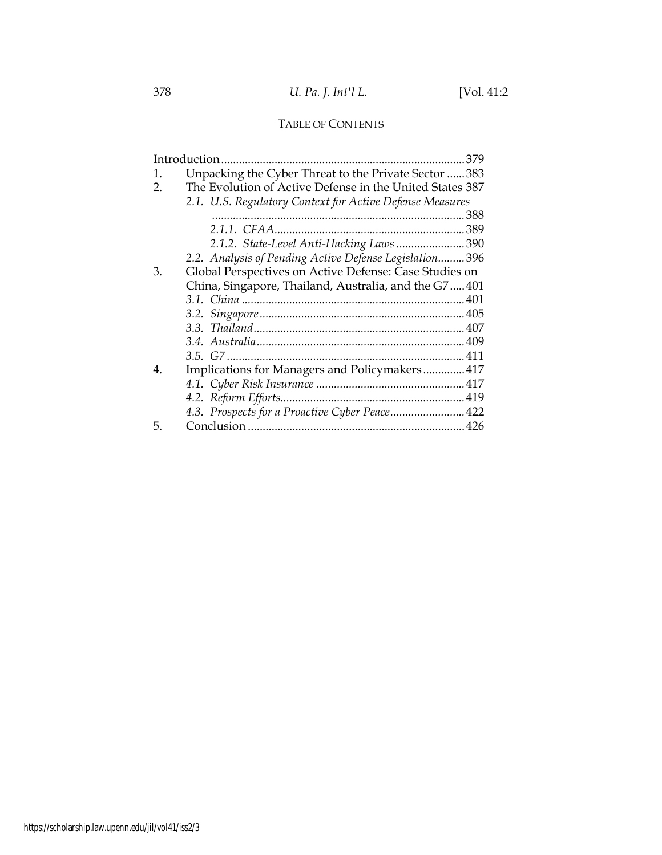# TABLE OF CONTENTS

|    | Introduction.<br>379                                     |  |
|----|----------------------------------------------------------|--|
| 1. | Unpacking the Cyber Threat to the Private Sector 383     |  |
| 2. | The Evolution of Active Defense in the United States 387 |  |
|    | 2.1. U.S. Regulatory Context for Active Defense Measures |  |
|    |                                                          |  |
|    |                                                          |  |
|    | 2.1.2. State-Level Anti-Hacking Laws390                  |  |
|    | 2.2. Analysis of Pending Active Defense Legislation 396  |  |
| 3. | Global Perspectives on Active Defense: Case Studies on   |  |
|    | China, Singapore, Thailand, Australia, and the G7401     |  |
|    |                                                          |  |
|    |                                                          |  |
|    |                                                          |  |
|    |                                                          |  |
|    |                                                          |  |
| 4. | Implications for Managers and Policymakers 417           |  |
|    |                                                          |  |
|    |                                                          |  |
|    | 4.3. Prospects for a Proactive Cyber Peace 422           |  |
| 5. |                                                          |  |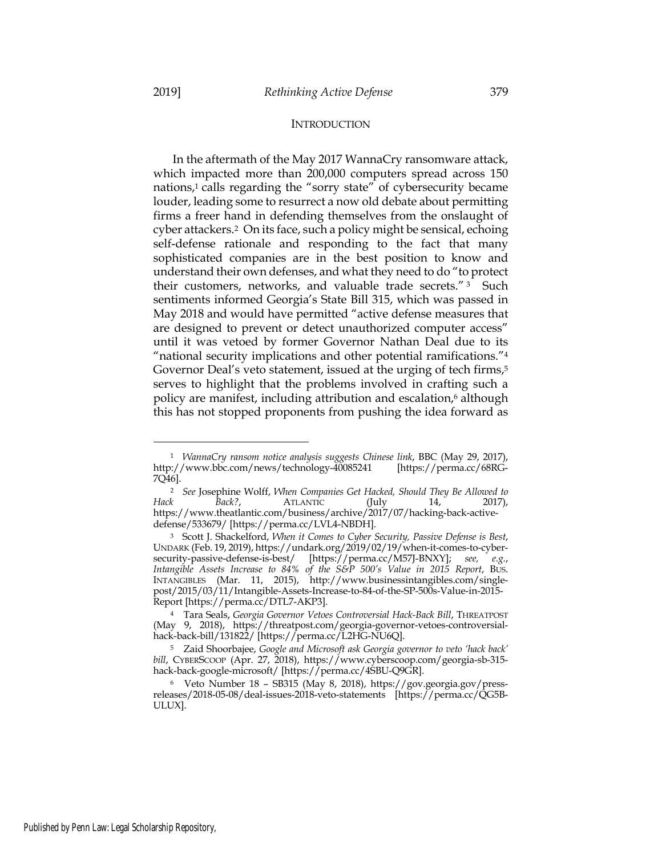#### **INTRODUCTION**

In the aftermath of the May 2017 WannaCry ransomware attack, which impacted more than 200,000 computers spread across 150 nations,<sup>1</sup> calls regarding the "sorry state" of cybersecurity became louder, leading some to resurrect a now old debate about permitting firms a freer hand in defending themselves from the onslaught of cyber attackers.2 On its face, such a policy might be sensical, echoing self-defense rationale and responding to the fact that many sophisticated companies are in the best position to know and understand their own defenses, and what they need to do "to protect their customers, networks, and valuable trade secrets." <sup>3</sup> Such sentiments informed Georgia's State Bill 315, which was passed in May 2018 and would have permitted "active defense measures that are designed to prevent or detect unauthorized computer access" until it was vetoed by former Governor Nathan Deal due to its "national security implications and other potential ramifications."4 Governor Deal's veto statement, issued at the urging of tech firms,<sup>5</sup> serves to highlight that the problems involved in crafting such a policy are manifest, including attribution and escalation,<sup>6</sup> although this has not stopped proponents from pushing the idea forward as

<sup>1</sup> *WannaCry ransom notice analysis suggests Chinese link*, BBC (May 29, 2017), http://www.bbc.com/news/technology-40085241 [https://perma.cc/68RG-7Q46].

<sup>2</sup> *See* Josephine Wolff, *When Companies Get Hacked, Should They Be Allowed to Back?*, **ATLANTIC** (July 14, 2017), https://www.theatlantic.com/business/archive/2017/07/hacking-back-activedefense/533679/ [https://perma.cc/LVL4-NBDH].

<sup>3</sup> Scott J. Shackelford, *When it Comes to Cyber Security, Passive Defense is Best*, UNDARK (Feb. 19, 2019), https://undark.org/2019/02/19/when-it-comes-to-cybersecurity-passive-defense-is-best/ [https://perma.cc/M57J-BNXY]; *see, e.g.*, *Intangible Assets Increase to 84% of the S&P 500's Value in 2015 Report*, BUS. INTANGIBLES (Mar. 11, 2015), http://www.businessintangibles.com/singlepost/2015/03/11/Intangible-Assets-Increase-to-84-of-the-SP-500s-Value-in-2015- Report [https://perma.cc/DTL7-AKP3].

<sup>4</sup> Tara Seals, *Georgia Governor Vetoes Controversial Hack-Back Bill*, THREATPOST (May 9, 2018), https://threatpost.com/georgia-governor-vetoes-controversialhack-back-bill/131822/ [https://perma.cc/L2HG-NU6Q].

<sup>5</sup> Zaid Shoorbajee, *Google and Microsoft ask Georgia governor to veto 'hack back' bill*, CYBERSCOOP (Apr. 27, 2018), https://www.cyberscoop.com/georgia-sb-315 hack-back-google-microsoft/ [https://perma.cc/4SBU-Q9GR].

<sup>6</sup> Veto Number 18 – SB315 (May 8, 2018), https://gov.georgia.gov/pressreleases/2018-05-08/deal-issues-2018-veto-statements [https://perma.cc/QG5B-ULUX].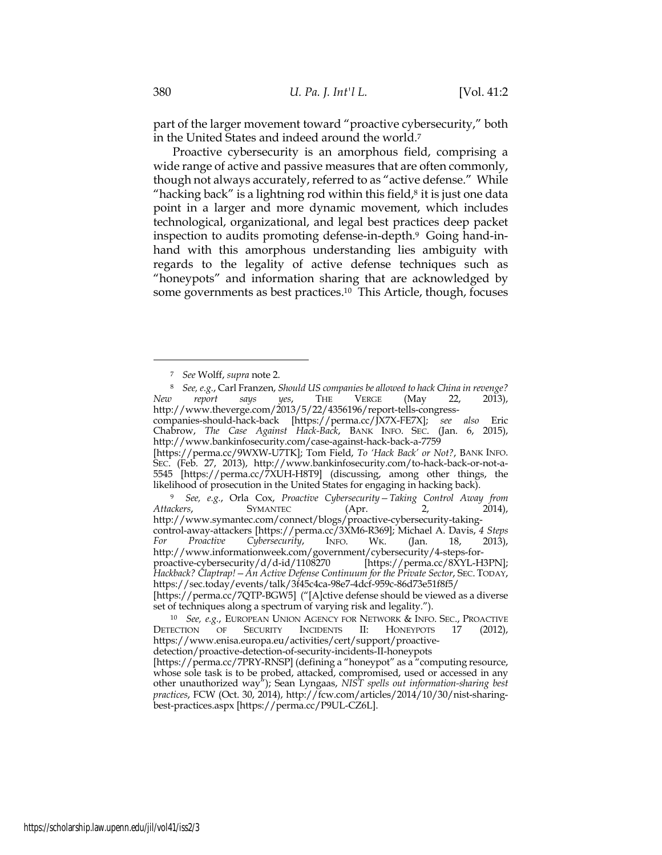part of the larger movement toward "proactive cybersecurity," both in the United States and indeed around the world.7

Proactive cybersecurity is an amorphous field, comprising a wide range of active and passive measures that are often commonly, though not always accurately, referred to as "active defense." While "hacking back" is a lightning rod within this field, $\delta$  it is just one data point in a larger and more dynamic movement, which includes technological, organizational, and legal best practices deep packet inspection to audits promoting defense-in-depth.9 Going hand-inhand with this amorphous understanding lies ambiguity with regards to the legality of active defense techniques such as "honeypots" and information sharing that are acknowledged by some governments as best practices.10 This Article, though, focuses

**SYMANTEC** (Apr. http://www.symantec.com/connect/blogs/proactive-cybersecurity-takingcontrol-away-attackers [https://perma.cc/3XM6-R369]; Michael A. Davis, *4 Steps For Proactive Cybersecurity*, INFO. WK. (Jan. 18, 2013), http://www.informationweek.com/government/cybersecurity/4-steps-forproactive-cybersecurity/d/d-id/1108270 [https://perma.cc/8XYL-H3PN]; *Hackback? Claptrap!—An Active Defense Continuum for the Private Sector*, SEC. TODAY, https://sec.today/events/talk/3f45c4ca-98e7-4dcf-959c-86d73e51f8f5/ [https://perma.cc/7QTP-BGW5] ("[A]ctive defense should be viewed as a diverse

<sup>7</sup> *See* Wolff, *supra* note 2.

<sup>8</sup> *See, e.g.*, Carl Franzen, *Should US companies be allowed to hack China in revenge? New report says yes*, THE VERGE (May 22, 2013), http://www.theverge.com/2013/5/22/4356196/report-tells-congresscompanies-should-hack-back [https://perma.cc/JX7X-FE7X]; *see also* Eric Chabrow, *The Case Against Hack-Back*, BANK INFO. SEC. (Jan. 6, 2015), http://www.bankinfosecurity.com/case-against-hack-back-a-7759 [https://perma.cc/9WXW-U7TK]; Tom Field, *To 'Hack Back' or Not?*, BANK INFO. SEC. (Feb. 27, 2013), http://www.bankinfosecurity.com/to-hack-back-or-not-a-5545 [https://perma.cc/7XUH-H8T9] (discussing, among other things, the likelihood of prosecution in the United States for engaging in hacking back). <sup>9</sup> *See, e.g.*, Orla Cox, *Proactive Cybersecurity—Taking Control Away from* 

set of techniques along a spectrum of varying risk and legality.").

<sup>&</sup>lt;sup>10</sup> *See, e.g.,* EUROPEAN UNION AGENCY FOR NETWORK & INFO. SEC., PROACTIVE ECTION OF SECURITY INCIDENTS II: HONEYPOTS 17 (2012), DETECTION OF SECURITY INCIDENTS II: HONEYPOTS 17 (2012), https://www.enisa.europa.eu/activities/cert/support/proactivedetection/proactive-detection-of-security-incidents-II-honeypots [https://perma.cc/7PRY-RNSP] (defining a "honeypot" as a "computing resource,

whose sole task is to be probed, attacked, compromised, used or accessed in any other unauthorized way"); Sean Lyngaas, *NIST spells out information-sharing best practices*, FCW (Oct. 30, 2014), http://fcw.com/articles/2014/10/30/nist-sharingbest-practices.aspx [https://perma.cc/P9UL-CZ6L].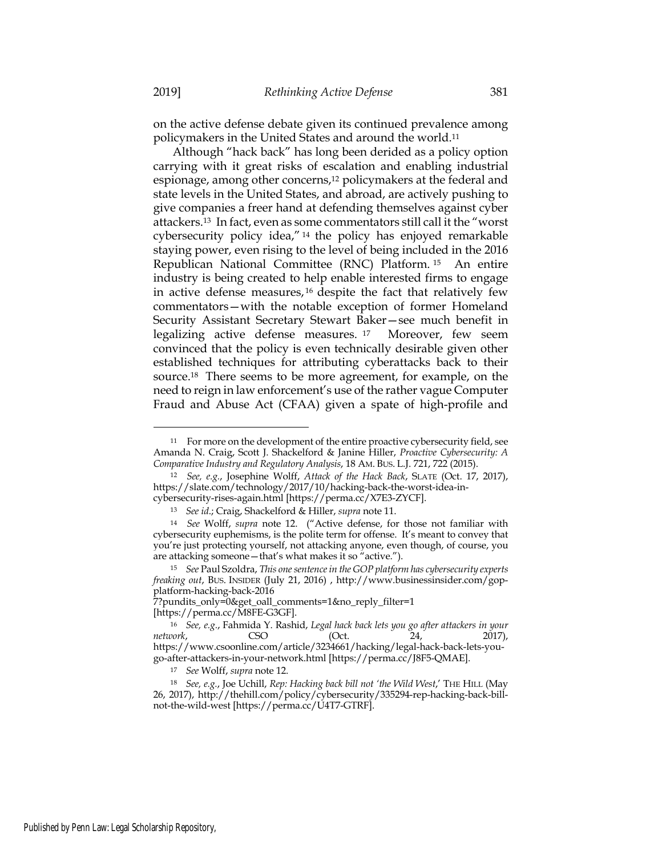on the active defense debate given its continued prevalence among policymakers in the United States and around the world.11

Although "hack back" has long been derided as a policy option carrying with it great risks of escalation and enabling industrial espionage, among other concerns,12 policymakers at the federal and state levels in the United States, and abroad, are actively pushing to give companies a freer hand at defending themselves against cyber attackers.13 In fact, even as some commentators still call it the "worst cybersecurity policy idea," <sup>14</sup> the policy has enjoyed remarkable staying power, even rising to the level of being included in the 2016 Republican National Committee (RNC) Platform. <sup>15</sup> An entire industry is being created to help enable interested firms to engage in active defense measures, <sup>16</sup> despite the fact that relatively few commentators—with the notable exception of former Homeland Security Assistant Secretary Stewart Baker—see much benefit in legalizing active defense measures. <sup>17</sup> Moreover, few seem convinced that the policy is even technically desirable given other established techniques for attributing cyberattacks back to their source.18 There seems to be more agreement, for example, on the need to reign in law enforcement's use of the rather vague Computer Fraud and Abuse Act (CFAA) given a spate of high-profile and

<sup>11</sup> For more on the development of the entire proactive cybersecurity field, see Amanda N. Craig, Scott J. Shackelford & Janine Hiller, *Proactive Cybersecurity: A Comparative Industry and Regulatory Analysis*, 18 AM. BUS. L.J. 721, 722 (2015).

<sup>12</sup> *See, e.g.*, Josephine Wolff, *Attack of the Hack Back*, SLATE (Oct. 17, 2017), https://slate.com/technology/2017/10/hacking-back-the-worst-idea-incybersecurity-rises-again.html [https://perma.cc/X7E3-ZYCF].

<sup>13</sup> *See id*.; Craig, Shackelford & Hiller, *supra* note 11.

<sup>14</sup> *See* Wolff, *supra* note 12. ("Active defense, for those not familiar with cybersecurity euphemisms, is the polite term for offense. It's meant to convey that you're just protecting yourself, not attacking anyone, even though, of course, you are attacking someone—that's what makes it so "active.").

<sup>15</sup> *See* Paul Szoldra, *This one sentence in the GOP platform has cybersecurity experts freaking out*, BUS. INSIDER (July 21, 2016) , http://www.businessinsider.com/gopplatform-hacking-back-2016

<sup>7?</sup>pundits\_only=0&get\_oall\_comments=1&no\_reply\_filter=1

<sup>[</sup>https://perma.cc/M8FE-G3GF].

<sup>16</sup> *See, e.g.*, Fahmida Y. Rashid, *Legal hack back lets you go after attackers in your network*, CSO (Oct. 24, 2017), https://www.csoonline.com/article/3234661/hacking/legal-hack-back-lets-yougo-after-attackers-in-your-network.html [https://perma.cc/J8F5-QMAE].

<sup>17</sup> *See* Wolff, *supra* note 12.

<sup>18</sup> *See, e.g.*, Joe Uchill, *Rep: Hacking back bill not 'the Wild West*,' THE HILL (May 26, 2017), http://thehill.com/policy/cybersecurity/335294-rep-hacking-back-billnot-the-wild-west [https://perma.cc/U4T7-GTRF].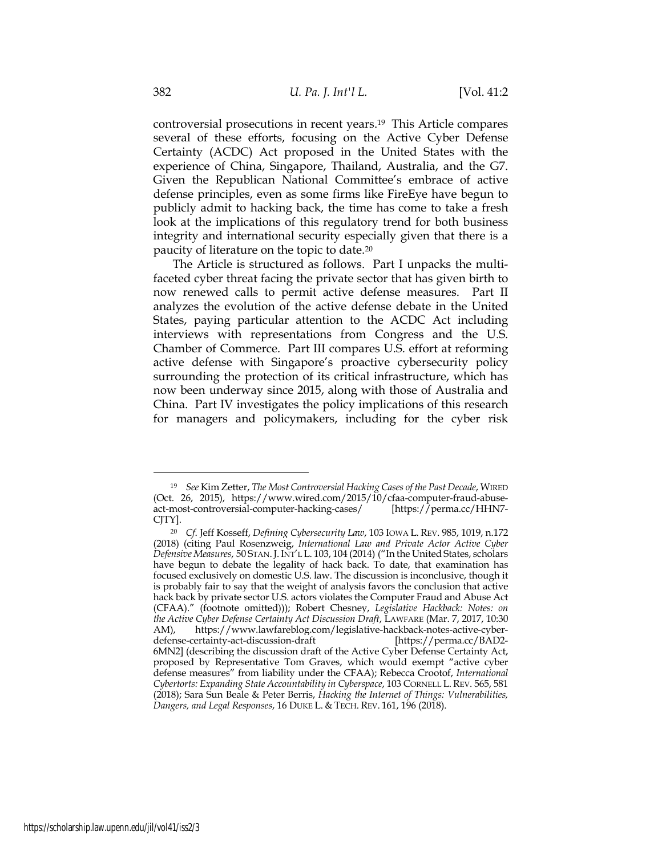controversial prosecutions in recent years.19 This Article compares several of these efforts, focusing on the Active Cyber Defense Certainty (ACDC) Act proposed in the United States with the experience of China, Singapore, Thailand, Australia, and the G7. Given the Republican National Committee's embrace of active defense principles, even as some firms like FireEye have begun to publicly admit to hacking back, the time has come to take a fresh look at the implications of this regulatory trend for both business integrity and international security especially given that there is a paucity of literature on the topic to date.20

The Article is structured as follows. Part I unpacks the multifaceted cyber threat facing the private sector that has given birth to now renewed calls to permit active defense measures. Part II analyzes the evolution of the active defense debate in the United States, paying particular attention to the ACDC Act including interviews with representations from Congress and the U.S. Chamber of Commerce. Part III compares U.S. effort at reforming active defense with Singapore's proactive cybersecurity policy surrounding the protection of its critical infrastructure, which has now been underway since 2015, along with those of Australia and China. Part IV investigates the policy implications of this research for managers and policymakers, including for the cyber risk

<sup>19</sup> *See* Kim Zetter, *The Most Controversial Hacking Cases of the Past Decade*, WIRED (Oct. 26, 2015), https://www.wired.com/2015/10/cfaa-computer-fraud-abuse-<br>act-most-controversial-computer-hacking-cases/ [https://perma.cc/HHN7act-most-controversial-computer-hacking-cases/ CJTY].

<sup>20</sup> *Cf*. Jeff Kosseff, *Defining Cybersecurity Law*, 103 IOWA L. REV. 985, 1019, n.172 (2018) (citing Paul Rosenzweig, *International Law and Private Actor Active Cyber Defensive Measures*, 50 STAN.J.INT'L L. 103, 104 (2014) ("In the United States, scholars have begun to debate the legality of hack back. To date, that examination has focused exclusively on domestic U.S. law. The discussion is inconclusive, though it is probably fair to say that the weight of analysis favors the conclusion that active hack back by private sector U.S. actors violates the Computer Fraud and Abuse Act (CFAA)." (footnote omitted))); Robert Chesney, *Legislative Hackback: Notes: on the Active Cyber Defense Certainty Act Discussion Draft*, LAWFARE (Mar. 7, 2017, 10:30 AM), https://www.lawfareblog.com/legislative-hackback-notes-active-cyberdefense-certainty-act-discussion-draft [https://perma.cc/BAD2- 6MN2] (describing the discussion draft of the Active Cyber Defense Certainty Act, proposed by Representative Tom Graves, which would exempt "active cyber defense measures" from liability under the CFAA); Rebecca Crootof, *International Cybertorts: Expanding State Accountability in Cyberspace*, 103 CORNELL L.REV. 565, 581 (2018); Sara Sun Beale & Peter Berris, *Hacking the Internet of Things: Vulnerabilities, Dangers, and Legal Responses*, 16 DUKE L. & TECH. REV. 161, 196 (2018).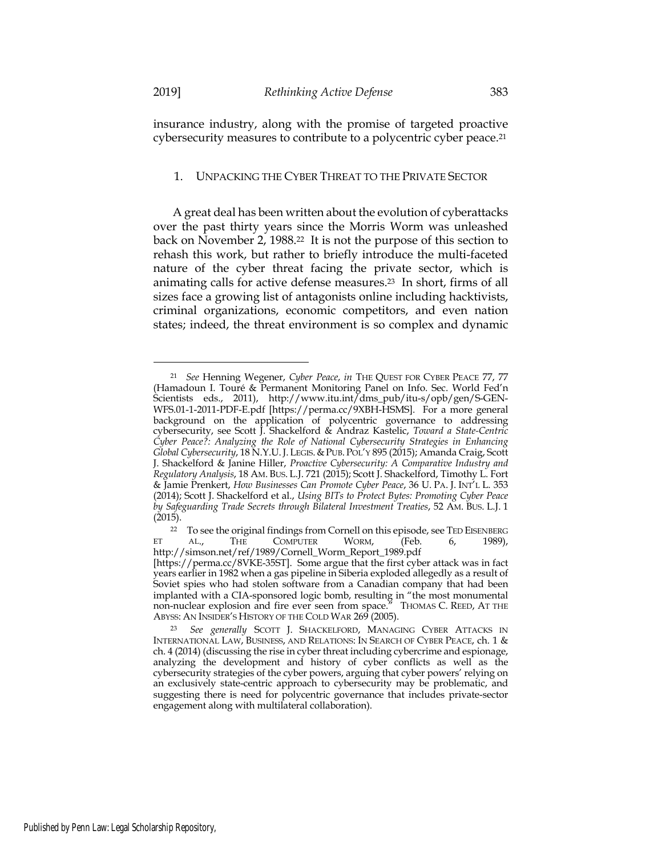insurance industry, along with the promise of targeted proactive cybersecurity measures to contribute to a polycentric cyber peace.21

#### 1. UNPACKING THE CYBER THREAT TO THE PRIVATE SECTOR

A great deal has been written about the evolution of cyberattacks over the past thirty years since the Morris Worm was unleashed back on November 2, 1988.22 It is not the purpose of this section to rehash this work, but rather to briefly introduce the multi-faceted nature of the cyber threat facing the private sector, which is animating calls for active defense measures.23 In short, firms of all sizes face a growing list of antagonists online including hacktivists, criminal organizations, economic competitors, and even nation states; indeed, the threat environment is so complex and dynamic

<sup>21</sup> *See* Henning Wegener, *Cyber Peace*, *in* THE QUEST FOR CYBER PEACE 77, 77 (Hamadoun I. Touré & Permanent Monitoring Panel on Info. Sec. World Fed'n Scientists eds., 2011), http://www.itu.int/dms\_pub/itu-s/opb/gen/S-GEN-WFS.01-1-2011-PDF-E.pdf [https://perma.cc/9XBH-HSMS]. For a more general background on the application of polycentric governance to addressing cybersecurity, see Scott J. Shackelford & Andraz Kastelic, *Toward a State-Centric Cyber Peace?: Analyzing the Role of National Cybersecurity Strategies in Enhancing Global Cybersecurity*, 18 N.Y.U.J.LEGIS.&PUB. POL'Y 895 (2015); Amanda Craig, Scott J. Shackelford & Janine Hiller, *Proactive Cybersecurity: A Comparative Industry and Regulatory Analysis*, 18 AM. BUS. L.J. 721 (2015); Scott J. Shackelford, Timothy L. Fort & Jamie Prenkert, *How Businesses Can Promote Cyber Peace*, 36 U. PA. J. INT'L L. 353 (2014); Scott J. Shackelford et al., *Using BITs to Protect Bytes: Promoting Cyber Peace by Safeguarding Trade Secrets through Bilateral Investment Treaties*, 52 AM. BUS. L.J. 1 (2015).

<sup>&</sup>lt;sup>22</sup> To see the original findings from Cornell on this episode, see TED EISENBERG AL., THE COMPUTER WORM, (Feb. 6, 1989), http://simson.net/ref/1989/Cornell\_Worm\_Report\_1989.pdf [https://perma.cc/8VKE-35ST]. Some argue that the first cyber attack was in fact years earlier in 1982 when a gas pipeline in Siberia exploded allegedly as a result of Soviet spies who had stolen software from a Canadian company that had been implanted with a CIA-sponsored logic bomb, resulting in "the most monumental non-nuclear explosion and fire ever seen from space." THOMAS C. REED, AT THE ABYSS: AN INSIDER'S HISTORY OF THE COLD WAR 269 (2005).

<sup>23</sup> *See generally* SCOTT J. SHACKELFORD, MANAGING CYBER ATTACKS IN INTERNATIONAL LAW, BUSINESS, AND RELATIONS: IN SEARCH OF CYBER PEACE, ch. 1 & ch. 4 (2014) (discussing the rise in cyber threat including cybercrime and espionage, analyzing the development and history of cyber conflicts as well as the cybersecurity strategies of the cyber powers, arguing that cyber powers' relying on an exclusively state-centric approach to cybersecurity may be problematic, and suggesting there is need for polycentric governance that includes private-sector engagement along with multilateral collaboration).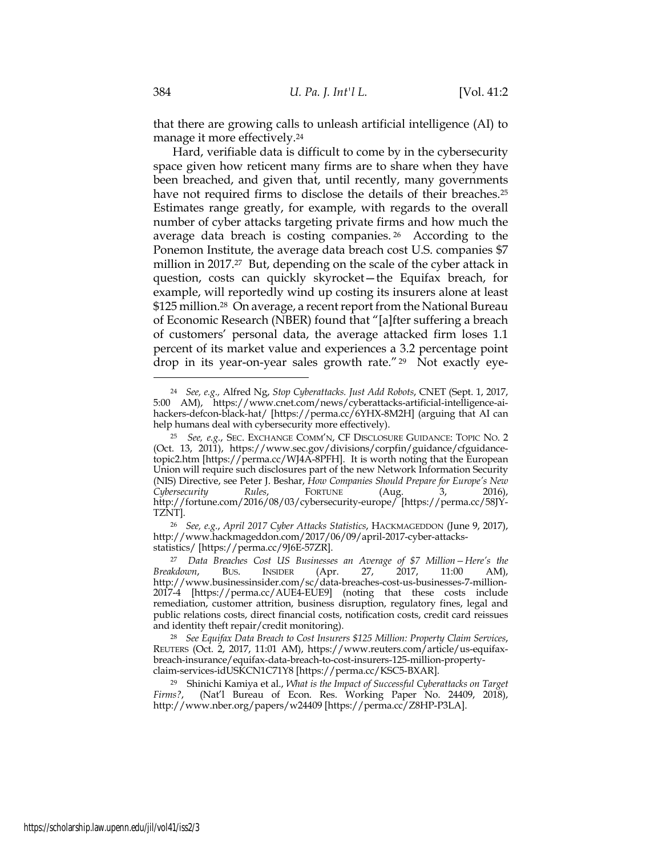that there are growing calls to unleash artificial intelligence (AI) to manage it more effectively.24

Hard, verifiable data is difficult to come by in the cybersecurity space given how reticent many firms are to share when they have been breached, and given that, until recently, many governments have not required firms to disclose the details of their breaches.<sup>25</sup> Estimates range greatly, for example, with regards to the overall number of cyber attacks targeting private firms and how much the average data breach is costing companies. <sup>26</sup> According to the Ponemon Institute, the average data breach cost U.S. companies \$7 million in 2017.27 But, depending on the scale of the cyber attack in question, costs can quickly skyrocket—the Equifax breach, for example, will reportedly wind up costing its insurers alone at least \$125 million.28 On average, a recent report from the National Bureau of Economic Research (NBER) found that "[a]fter suffering a breach of customers' personal data, the average attacked firm loses 1.1 percent of its market value and experiences a 3.2 percentage point drop in its year-on-year sales growth rate."29 Not exactly eye-

<sup>24</sup> *See, e.g.,* Alfred Ng, *Stop Cyberattacks. Just Add Robots*, CNET (Sept. 1, 2017, 5:00 AM), https://www.cnet.com/news/cyberattacks-artificial-intelligence-aihackers-defcon-black-hat/ [https://perma.cc/6YHX-8M2H] (arguing that AI can help humans deal with cybersecurity more effectively).

<sup>25</sup> *See, e.g.*, SEC. EXCHANGE COMM'N, CF DISCLOSURE GUIDANCE: TOPIC NO. 2 (Oct. 13, 2011), https://www.sec.gov/divisions/corpfin/guidance/cfguidancetopic2.htm [https://perma.cc/WJ4A-8PFH]. It is worth noting that the European Union will require such disclosures part of the new Network Information Security (NIS) Directive, see Peter J. Beshar, *How Companies Should Prepare for Europe's New Cybersecurity Rules*, FORTUNE (Aug. 3, 2016), http://fortune.com/2016/08/03/cybersecurity-europe/ [https://perma.cc/58JY-TZNT].

<sup>26</sup> *See, e.g.*, *April 2017 Cyber Attacks Statistics*, HACKMAGEDDON (June 9, 2017), http://www.hackmageddon.com/2017/06/09/april-2017-cyber-attacksstatistics/ [https://perma.cc/9J6E-57ZR].

<sup>27</sup> *Data Breaches Cost US Businesses an Average of \$7 Million—Here's the Breakdown*, BUS. INSIDER (Apr. 27, 2017, 11:00 AM), http://www.businessinsider.com/sc/data-breaches-cost-us-businesses-7-million-2017-4 [https://perma.cc/AUE4-EUE9] (noting that these costs include remediation, customer attrition, business disruption, regulatory fines, legal and public relations costs, direct financial costs, notification costs, credit card reissues and identity theft repair/credit monitoring).

<sup>28</sup> *See Equifax Data Breach to Cost Insurers \$125 Million: Property Claim Services*, REUTERS (Oct. 2, 2017, 11:01 AM), https://www.reuters.com/article/us-equifaxbreach-insurance/equifax-data-breach-to-cost-insurers-125-million-propertyclaim-services-idUSKCN1C71Y8 [https://perma.cc/KSC5-BXAR].

<sup>29</sup> Shinichi Kamiya et al., *What is the Impact of Successful Cyberattacks on Target Firms?*, (Nat'l Bureau of Econ. Res. Working Paper No. 24409, 2018), http://www.nber.org/papers/w24409 [https://perma.cc/Z8HP-P3LA].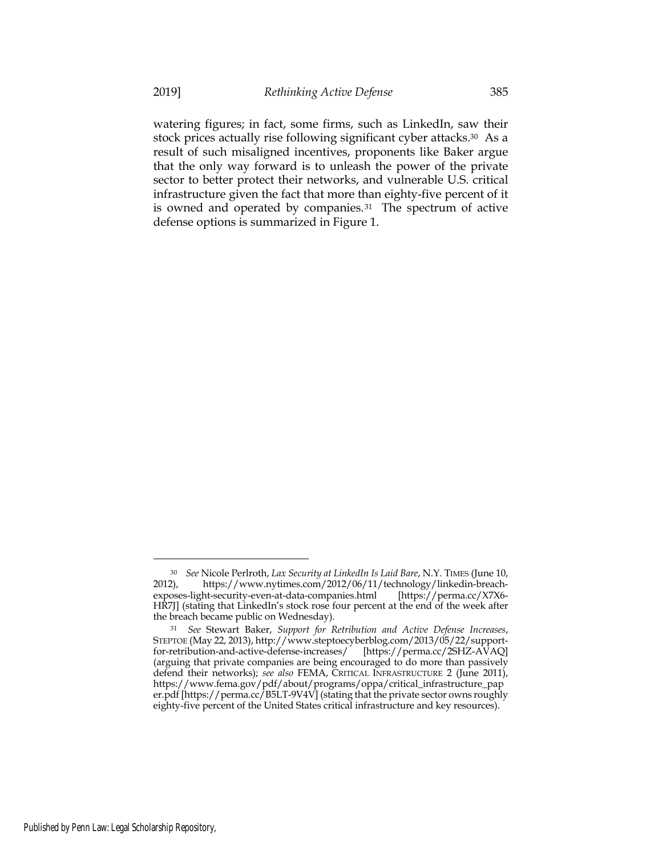watering figures; in fact, some firms, such as LinkedIn, saw their stock prices actually rise following significant cyber attacks.30 As a result of such misaligned incentives, proponents like Baker argue that the only way forward is to unleash the power of the private sector to better protect their networks, and vulnerable U.S. critical infrastructure given the fact that more than eighty-five percent of it is owned and operated by companies.<sup>31</sup> The spectrum of active defense options is summarized in Figure 1.

<sup>30</sup> *See* Nicole Perlroth, *Lax Security at LinkedIn Is Laid Bare*, N.Y. TIMES (June 10, 2012), https://www.nytimes.com/2012/06/11/technology/linkedin-breachexposes-light-security-even-at-data-companies.html [https://perma.cc/X7X6- HR7J] (stating that LinkedIn's stock rose four percent at the end of the week after the breach became public on Wednesday).

<sup>31</sup> *See* Stewart Baker, *Support for Retribution and Active Defense Increases*, STEPTOE (May 22, 2013), http://www.steptoecyberblog.com/2013/05/22/support-<br>for-retribution-and-active-defense-increases/ [https://perma.cc/2SHZ-AVAQ] for-retribution-and-active-defense-increases/ (arguing that private companies are being encouraged to do more than passively defend their networks); *see also* FEMA, CRITICAL INFRASTRUCTURE 2 (June 2011), https://www.fema.gov/pdf/about/programs/oppa/critical\_infrastructure\_pap er.pdf [https://perma.cc/B5LT-9V4V] (stating that the private sector owns roughly eighty-five percent of the United States critical infrastructure and key resources).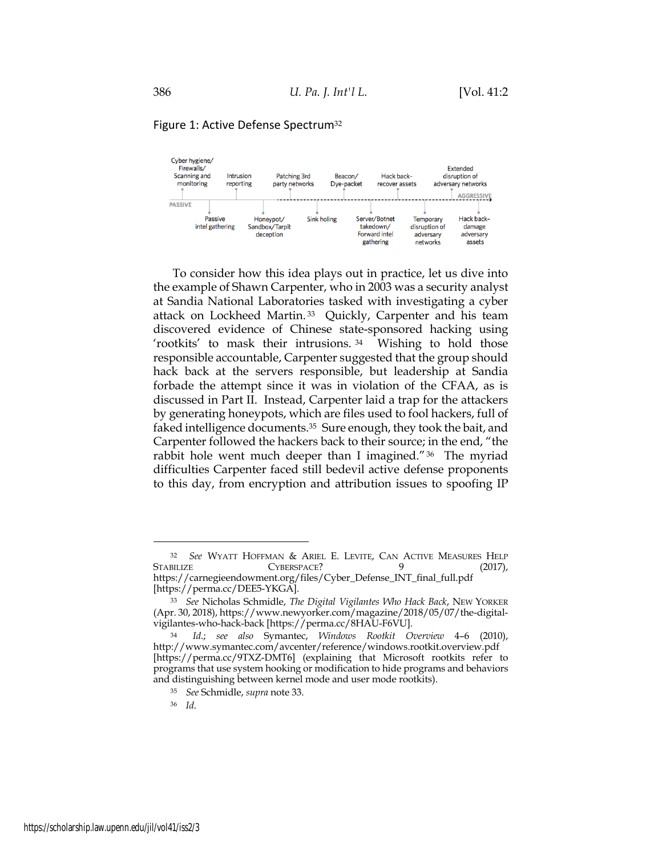#### Cyber hygiene/ Firewalls/ Extended Scanning and Intrusion Patching 3rd Beacon/ Hack backdisruption of monitoring Dye-packet reporting party networks recover assets adversary networks AGGRESSIVE **PASSIVE** Server/Botnet Hack back-Passive Honeypot/ Sink holing Temporary intel gathering Sandbox/Tarpit takedown/ disruption of damage Forward intel adversary deception adversary gathering networks assets

Figure 1: Active Defense Spectrum<sup>32</sup>

To consider how this idea plays out in practice, let us dive into the example of Shawn Carpenter, who in 2003 was a security analyst at Sandia National Laboratories tasked with investigating a cyber attack on Lockheed Martin.<sup>33</sup> Quickly, Carpenter and his team discovered evidence of Chinese state-sponsored hacking using 'rootkits' to mask their intrusions. 34 Wishing to hold those responsible accountable, Carpenter suggested that the group should hack back at the servers responsible, but leadership at Sandia forbade the attempt since it was in violation of the CFAA, as is discussed in Part II. Instead, Carpenter laid a trap for the attackers by generating honeypots, which are files used to fool hackers, full of faked intelligence documents.35 Sure enough, they took the bait, and Carpenter followed the hackers back to their source; in the end, "the rabbit hole went much deeper than I imagined."36 The myriad difficulties Carpenter faced still bedevil active defense proponents to this day, from encryption and attribution issues to spoofing IP

<sup>&</sup>lt;sup>32</sup> *See* WYATT HOFFMAN & ARIEL E. LEVITE, CAN ACTIVE MEASURES HELP STABILIZE CYBERSPACE? 9 (2017),  $CYBERSPACE$ ? 9 (2017), https://carnegieendowment.org/files/Cyber\_Defense\_INT\_final\_full.pdf [https://perma.cc/DEE5-YKGA].

<sup>33</sup> *See* Nicholas Schmidle, *The Digital Vigilantes Who Hack Back*, NEW YORKER (Apr. 30, 2018), https://www.newyorker.com/magazine/2018/05/07/the-digitalvigilantes-who-hack-back [https://perma.cc/8HAU-F6VU].

<sup>34</sup> *Id*.; *see also* Symantec, *Windows Rootkit Overview* 4–6 (2010), http://www.symantec.com/avcenter/reference/windows.rootkit.overview.pdf [https://perma.cc/9TXZ-DMT6] (explaining that Microsoft rootkits refer to programs that use system hooking or modification to hide programs and behaviors and distinguishing between kernel mode and user mode rootkits).

<sup>35</sup> *See* Schmidle, *supra* note 33.

<sup>36</sup> *Id*.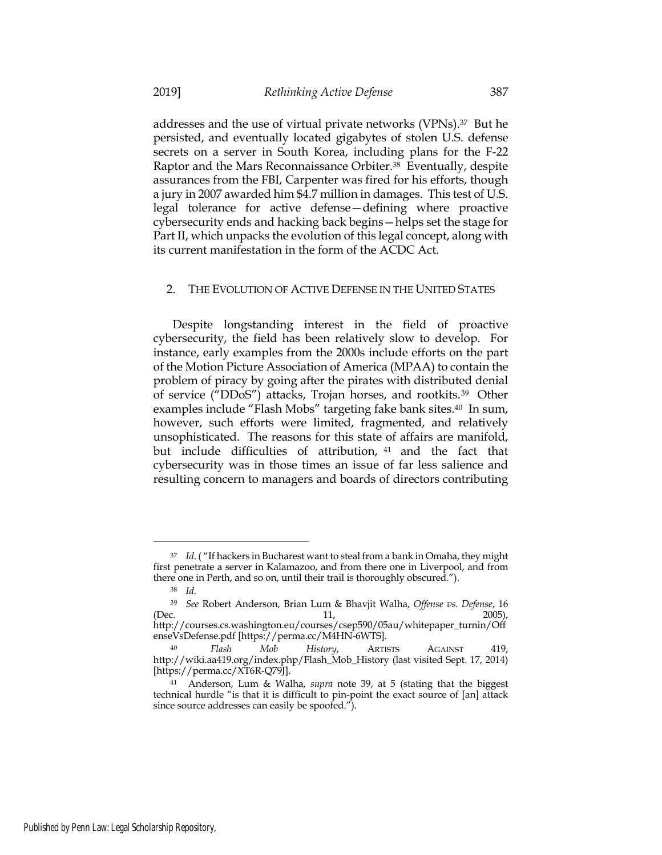addresses and the use of virtual private networks (VPNs).37 But he persisted, and eventually located gigabytes of stolen U.S. defense secrets on a server in South Korea, including plans for the F-22 Raptor and the Mars Reconnaissance Orbiter.38 Eventually, despite assurances from the FBI, Carpenter was fired for his efforts, though a jury in 2007 awarded him \$4.7 million in damages. This test of U.S. legal tolerance for active defense—defining where proactive cybersecurity ends and hacking back begins—helps set the stage for Part II, which unpacks the evolution of this legal concept, along with its current manifestation in the form of the ACDC Act.

#### 2. THE EVOLUTION OF ACTIVE DEFENSE IN THE UNITED STATES

Despite longstanding interest in the field of proactive cybersecurity, the field has been relatively slow to develop. For instance, early examples from the 2000s include efforts on the part of the Motion Picture Association of America (MPAA) to contain the problem of piracy by going after the pirates with distributed denial of service ("DDoS") attacks, Trojan horses, and rootkits.39 Other examples include "Flash Mobs" targeting fake bank sites.<sup>40</sup> In sum, however, such efforts were limited, fragmented, and relatively unsophisticated. The reasons for this state of affairs are manifold, but include difficulties of attribution, <sup>41</sup> and the fact that cybersecurity was in those times an issue of far less salience and resulting concern to managers and boards of directors contributing

<sup>37</sup> *Id*. ( "If hackers in Bucharest want to steal from a bank in Omaha, they might first penetrate a server in Kalamazoo, and from there one in Liverpool, and from there one in Perth, and so on, until their trail is thoroughly obscured.").

<sup>38</sup> *Id*.

<sup>39</sup> *See* Robert Anderson, Brian Lum & Bhavjit Walha, *Offense vs. Defense*, 16 (Dec. 2005),

http://courses.cs.washington.eu/courses/csep590/05au/whitepaper\_turnin/Off enseVsDefense.pdf [https://perma.cc/M4HN-6WTS].

<sup>40</sup> *Flash Mob History*, ARTISTS AGAINST 419, http://wiki.aa419.org/index.php/Flash\_Mob\_History (last visited Sept. 17, 2014) [https://perma.cc/XT6R-Q79J].

<sup>41</sup> Anderson, Lum & Walha, *supra* note 39, at 5 (stating that the biggest technical hurdle "is that it is difficult to pin-point the exact source of [an] attack since source addresses can easily be spoofed.").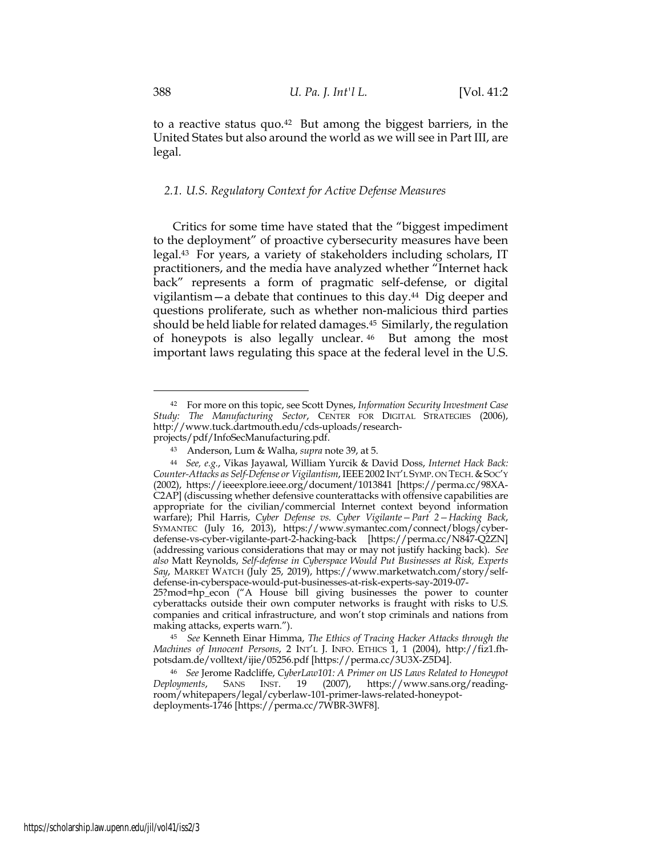to a reactive status quo.42 But among the biggest barriers, in the United States but also around the world as we will see in Part III, are legal.

### *2.1. U.S. Regulatory Context for Active Defense Measures*

Critics for some time have stated that the "biggest impediment to the deployment" of proactive cybersecurity measures have been legal.43 For years, a variety of stakeholders including scholars, IT practitioners, and the media have analyzed whether "Internet hack back" represents a form of pragmatic self-defense, or digital vigilantism—a debate that continues to this day.44 Dig deeper and questions proliferate, such as whether non-malicious third parties should be held liable for related damages.45 Similarly, the regulation of honeypots is also legally unclear. <sup>46</sup> But among the most important laws regulating this space at the federal level in the U.S.

<sup>42</sup> For more on this topic, see Scott Dynes, *Information Security Investment Case Study: The Manufacturing Sector*, CENTER FOR DIGITAL STRATEGIES (2006), http://www.tuck.dartmouth.edu/cds-uploads/researchprojects/pdf/InfoSecManufacturing.pdf.

<sup>43</sup> Anderson, Lum & Walha, *supra* note 39, at 5.

<sup>44</sup> *See, e.g.*, Vikas Jayawal, William Yurcik & David Doss, *Internet Hack Back: Counter-Attacks as Self-Defense or Vigilantism*, IEEE2002 INT'L SYMP. ON TECH.&SOC'Y (2002), https://ieeexplore.ieee.org/document/1013841 [https://perma.cc/98XA-C2AP] (discussing whether defensive counterattacks with offensive capabilities are appropriate for the civilian/commercial Internet context beyond information warfare); Phil Harris, *Cyber Defense vs. Cyber Vigilante—Part 2—Hacking Back*, SYMANTEC (July 16, 2013), https://www.symantec.com/connect/blogs/cyberdefense-vs-cyber-vigilante-part-2-hacking-back [https://perma.cc/N847-Q2ZN] (addressing various considerations that may or may not justify hacking back). *See also* Matt Reynolds, *Self-defense in Cyberspace Would Put Businesses at Risk, Experts Say*, MARKET WATCH (July 25, 2019), https://www.marketwatch.com/story/selfdefense-in-cyberspace-would-put-businesses-at-risk-experts-say-2019-07-

<sup>25?</sup>mod=hp\_econ ("A House bill giving businesses the power to counter cyberattacks outside their own computer networks is fraught with risks to U.S. companies and critical infrastructure, and won't stop criminals and nations from making attacks, experts warn.").

<sup>45</sup> *See* Kenneth Einar Himma, *The Ethics of Tracing Hacker Attacks through the Machines of Innocent Persons*, 2 INT'L J. INFO. ETHICS 1, 1 (2004), http://fiz1.fhpotsdam.de/volltext/ijie/05256.pdf [https://perma.cc/3U3X-Z5D4].

<sup>46</sup> *See* Jerome Radcliffe, *CyberLaw101: A Primer on US Laws Related to Honeypot*  (2007), https://www.sans.org/readingroom/whitepapers/legal/cyberlaw-101-primer-laws-related-honeypotdeployments-1746 [https://perma.cc/7WBR-3WF8].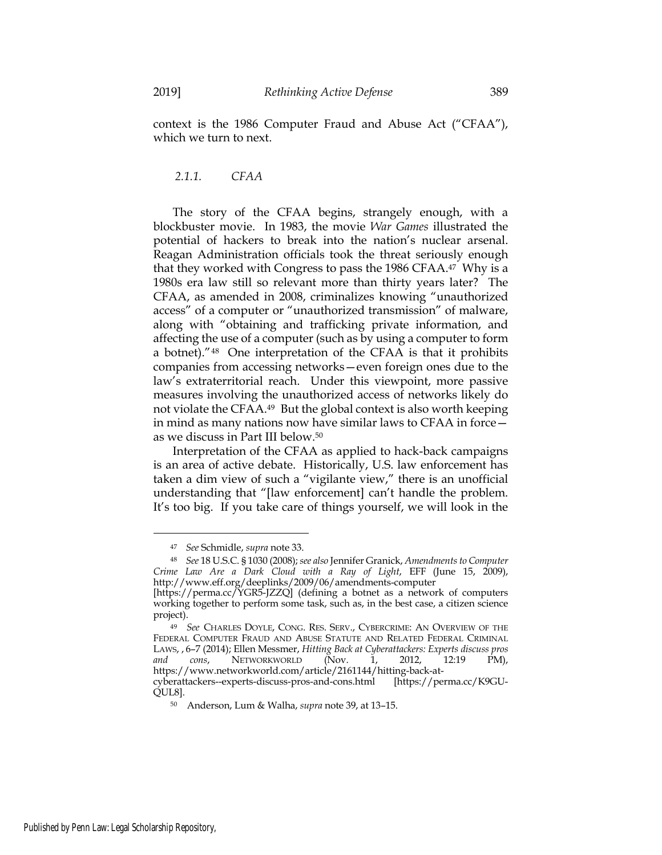context is the 1986 Computer Fraud and Abuse Act ("CFAA"), which we turn to next.

*2.1.1. CFAA*

The story of the CFAA begins, strangely enough, with a blockbuster movie. In 1983, the movie *War Games* illustrated the potential of hackers to break into the nation's nuclear arsenal. Reagan Administration officials took the threat seriously enough that they worked with Congress to pass the 1986 CFAA.47 Why is a 1980s era law still so relevant more than thirty years later? The CFAA, as amended in 2008, criminalizes knowing "unauthorized access" of a computer or "unauthorized transmission" of malware, along with "obtaining and trafficking private information, and affecting the use of a computer (such as by using a computer to form a botnet)."48 One interpretation of the CFAA is that it prohibits companies from accessing networks—even foreign ones due to the law's extraterritorial reach. Under this viewpoint, more passive measures involving the unauthorized access of networks likely do not violate the CFAA.49 But the global context is also worth keeping in mind as many nations now have similar laws to CFAA in force as we discuss in Part III below.50

Interpretation of the CFAA as applied to hack-back campaigns is an area of active debate. Historically, U.S. law enforcement has taken a dim view of such a "vigilante view," there is an unofficial understanding that "[law enforcement] can't handle the problem. It's too big. If you take care of things yourself, we will look in the

<sup>47</sup> *See* Schmidle, *supra* note 33.

<sup>48</sup> *See* 18 U.S.C. § 1030 (2008); *see also* Jennifer Granick, *Amendments to Computer Crime Law Are a Dark Cloud with a Ray of Light*, EFF (June 15, 2009), http://www.eff.org/deeplinks/2009/06/amendments-computer

<sup>[</sup>https://perma.cc/YGR5-JZZQ] (defining a botnet as a network of computers working together to perform some task, such as, in the best case, a citizen science project).

<sup>49</sup> *See* CHARLES DOYLE, CONG. RES. SERV., CYBERCRIME: AN OVERVIEW OF THE FEDERAL COMPUTER FRAUD AND ABUSE STATUTE AND RELATED FEDERAL CRIMINAL LAWS, , 6–7 (2014); Ellen Messmer, *Hitting Back at Cyberattackers: Experts discuss pros and cons*, NETWORKWORLD (Nov. 1, 2012, 12:19 PM), https://www.networkworld.com/article/2161144/hitting-back-at-

cyberattackers--experts-discuss-pros-and-cons.html [https://perma.cc/K9GU-QUL8].

<sup>50</sup> Anderson, Lum & Walha, *supra* note 39, at 13–15.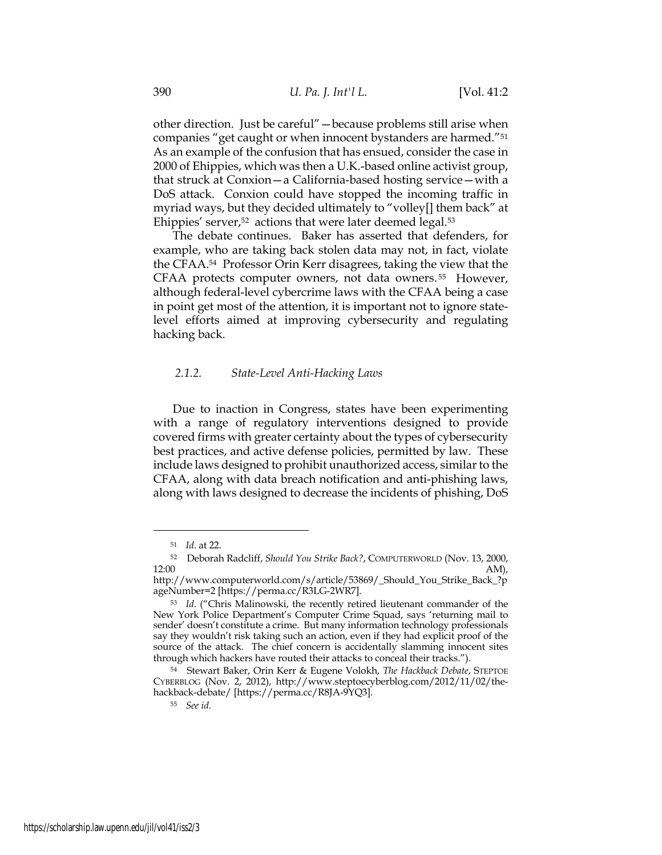other direction. Just be careful"—because problems still arise when companies "get caught or when innocent bystanders are harmed."51 As an example of the confusion that has ensued, consider the case in 2000 of Ehippies, which was then a U.K.-based online activist group, that struck at Conxion—a California-based hosting service—with a DoS attack. Conxion could have stopped the incoming traffic in myriad ways, but they decided ultimately to "volley[] them back" at Ehippies' server,<sup>52</sup> actions that were later deemed legal.<sup>53</sup>

The debate continues. Baker has asserted that defenders, for example, who are taking back stolen data may not, in fact, violate the CFAA.54 Professor Orin Kerr disagrees, taking the view that the CFAA protects computer owners, not data owners. <sup>55</sup> However, although federal-level cybercrime laws with the CFAA being a case in point get most of the attention, it is important not to ignore statelevel efforts aimed at improving cybersecurity and regulating hacking back.

## *2.1.2. State-Level Anti-Hacking Laws*

Due to inaction in Congress, states have been experimenting with a range of regulatory interventions designed to provide covered firms with greater certainty about the types of cybersecurity best practices, and active defense policies, permitted by law. These include laws designed to prohibit unauthorized access, similar to the CFAA, along with data breach notification and anti-phishing laws, along with laws designed to decrease the incidents of phishing, DoS

<sup>51</sup> *Id*. at 22.

<sup>52</sup> Deborah Radcliff, *Should You Strike Back?*, COMPUTERWORLD (Nov. 13, 2000,  $12:00$  AM),

http://www.computerworld.com/s/article/53869/\_Should\_You\_Strike\_Back\_?p ageNumber=2 [https://perma.cc/R3LG-2WR7].

<sup>53</sup> *Id*. ("Chris Malinowski, the recently retired lieutenant commander of the New York Police Department's Computer Crime Squad, says 'returning mail to sender' doesn't constitute a crime. But many information technology professionals say they wouldn't risk taking such an action, even if they had explicit proof of the source of the attack. The chief concern is accidentally slamming innocent sites through which hackers have routed their attacks to conceal their tracks.").

<sup>54</sup> Stewart Baker, Orin Kerr & Eugene Volokh, *The Hackback Debate*, STEPTOE CYBERBLOG (Nov. 2, 2012), http://www.steptoecyberblog.com/2012/11/02/thehackback-debate/ [https://perma.cc/R8JA-9YQ3].

<sup>55</sup> *See id*.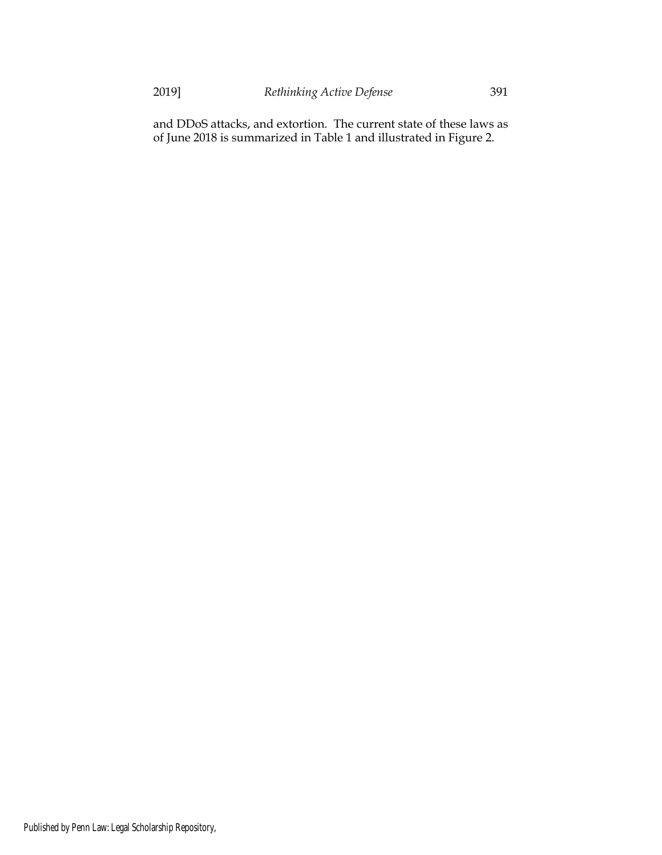and DDoS attacks, and extortion. The current state of these laws as of June 2018 is summarized in Table 1 and illustrated in Figure 2.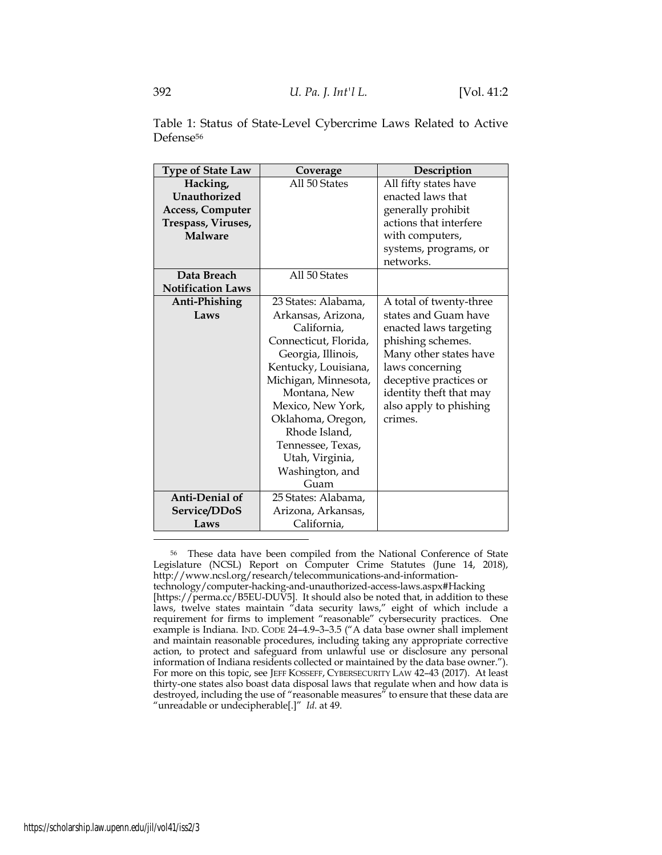| Table 1: Status of State-Level Cybercrime Laws Related to Active |  |  |  |
|------------------------------------------------------------------|--|--|--|
| Defense <sup>56</sup>                                            |  |  |  |

| <b>Type of State Law</b> | Coverage              | Description             |
|--------------------------|-----------------------|-------------------------|
| Hacking,                 | All 50 States         | All fifty states have   |
| Unauthorized             |                       | enacted laws that       |
| <b>Access, Computer</b>  |                       | generally prohibit      |
| Trespass, Viruses,       |                       | actions that interfere  |
| <b>Malware</b>           |                       | with computers,         |
|                          |                       | systems, programs, or   |
|                          |                       | networks.               |
| Data Breach              | All 50 States         |                         |
| <b>Notification Laws</b> |                       |                         |
| Anti-Phishing            | 23 States: Alabama,   | A total of twenty-three |
| Laws                     | Arkansas, Arizona,    | states and Guam have    |
|                          | California,           | enacted laws targeting  |
|                          | Connecticut, Florida, | phishing schemes.       |
|                          | Georgia, Illinois,    | Many other states have  |
|                          | Kentucky, Louisiana,  | laws concerning         |
|                          | Michigan, Minnesota,  | deceptive practices or  |
|                          | Montana, New          | identity theft that may |
|                          | Mexico, New York,     | also apply to phishing  |
|                          | Oklahoma, Oregon,     | crimes.                 |
|                          | Rhode Island,         |                         |
|                          | Tennessee, Texas,     |                         |
|                          | Utah, Virginia,       |                         |
|                          | Washington, and       |                         |
|                          | Guam                  |                         |
| Anti-Denial of           | 25 States: Alabama,   |                         |
| Service/DDoS             | Arizona, Arkansas,    |                         |
| Laws                     | California,           |                         |

<sup>56</sup> These data have been compiled from the National Conference of State Legislature (NCSL) Report on Computer Crime Statutes (June 14, 2018), http://www.ncsl.org/research/telecommunications-and-information-

technology/computer-hacking-and-unauthorized-access-laws.aspx#Hacking [https://perma.cc/B5EU-DUV5]. It should also be noted that, in addition to these laws, twelve states maintain "data security laws," eight of which include a requirement for firms to implement "reasonable" cybersecurity practices. One example is Indiana. IND. CODE 24–4.9–3–3.5 ("A data base owner shall implement and maintain reasonable procedures, including taking any appropriate corrective action, to protect and safeguard from unlawful use or disclosure any personal information of Indiana residents collected or maintained by the data base owner."). For more on this topic, see JEFF KOSSEFF, CYBERSECURITY LAW 42–43 (2017). At least thirty-one states also boast data disposal laws that regulate when and how data is destroyed, including the use of "reasonable measures" to ensure that these data are "unreadable or undecipherable[.]" *Id*. at 49.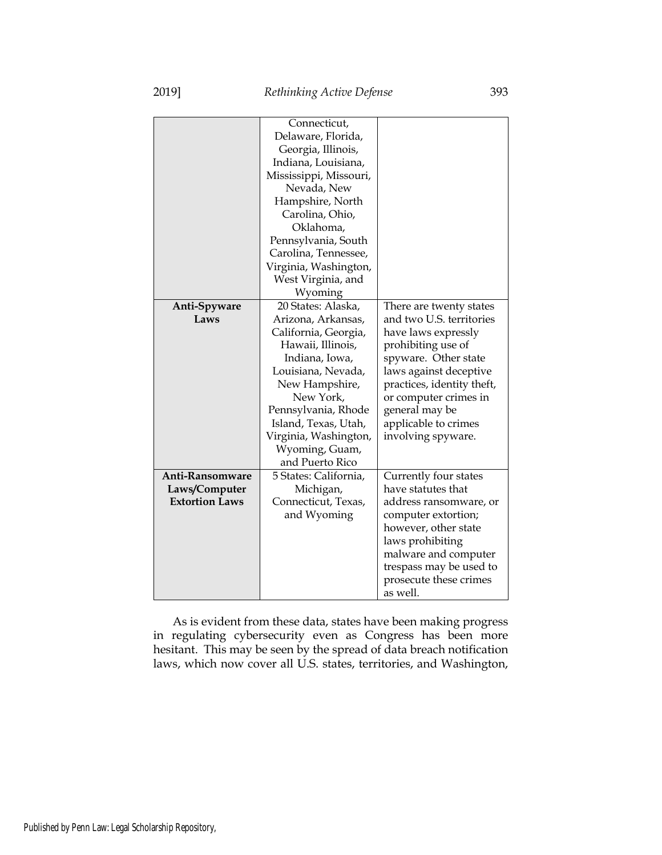|                       | Connecticut,           |                            |
|-----------------------|------------------------|----------------------------|
|                       | Delaware, Florida,     |                            |
|                       | Georgia, Illinois,     |                            |
|                       | Indiana, Louisiana,    |                            |
|                       | Mississippi, Missouri, |                            |
|                       | Nevada, New            |                            |
|                       | Hampshire, North       |                            |
|                       | Carolina, Ohio,        |                            |
|                       | Oklahoma,              |                            |
|                       | Pennsylvania, South    |                            |
|                       | Carolina, Tennessee,   |                            |
|                       | Virginia, Washington,  |                            |
|                       | West Virginia, and     |                            |
|                       | Wyoming                |                            |
| Anti-Spyware          | 20 States: Alaska,     | There are twenty states    |
| Laws                  | Arizona, Arkansas,     | and two U.S. territories   |
|                       | California, Georgia,   | have laws expressly        |
|                       | Hawaii, Illinois,      | prohibiting use of         |
|                       | Indiana, Iowa,         | spyware. Other state       |
|                       | Louisiana, Nevada,     | laws against deceptive     |
|                       | New Hampshire,         | practices, identity theft, |
|                       | New York,              | or computer crimes in      |
|                       | Pennsylvania, Rhode    | general may be             |
|                       | Island, Texas, Utah,   | applicable to crimes       |
|                       | Virginia, Washington,  | involving spyware.         |
|                       | Wyoming, Guam,         |                            |
|                       | and Puerto Rico        |                            |
| Anti-Ransomware       | 5 States: California,  | Currently four states      |
| Laws/Computer         | Michigan,              | have statutes that         |
| <b>Extortion Laws</b> | Connecticut, Texas,    | address ransomware, or     |
|                       | and Wyoming            | computer extortion;        |
|                       |                        | however, other state       |
|                       |                        | laws prohibiting           |
|                       |                        | malware and computer       |
|                       |                        | trespass may be used to    |
|                       |                        | prosecute these crimes     |
|                       |                        | as well.                   |
|                       |                        |                            |

As is evident from these data, states have been making progress in regulating cybersecurity even as Congress has been more hesitant. This may be seen by the spread of data breach notification laws, which now cover all U.S. states, territories, and Washington,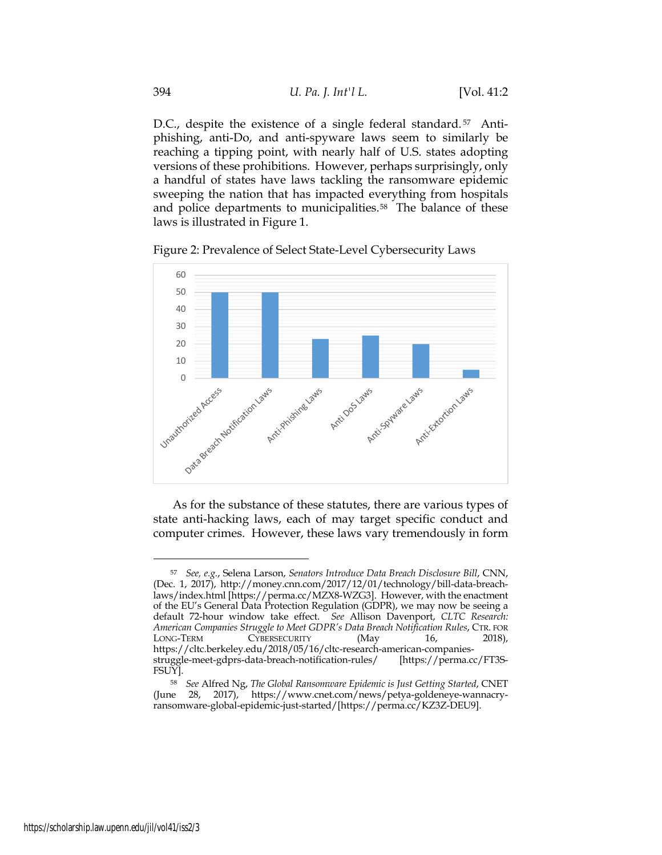D.C., despite the existence of a single federal standard.<sup>57</sup> Antiphishing, anti-Do, and anti-spyware laws seem to similarly be reaching a tipping point, with nearly half of U.S. states adopting versions of these prohibitions. However, perhaps surprisingly, only a handful of states have laws tackling the ransomware epidemic sweeping the nation that has impacted everything from hospitals and police departments to municipalities.<sup>58</sup> The balance of these laws is illustrated in Figure 1.

Figure 2: Prevalence of Select State-Level Cybersecurity Laws



As for the substance of these statutes, there are various types of state anti-hacking laws, each of may target specific conduct and computer crimes. However, these laws vary tremendously in form

<sup>57</sup> *See, e.g.*, Selena Larson, *Senators Introduce Data Breach Disclosure Bill*, CNN, (Dec. 1, 2017), http://money.cnn.com/2017/12/01/technology/bill-data-breachlaws/index.html [https://perma.cc/MZX8-WZG3]. However, with the enactment of the EU's General Data Protection Regulation (GDPR), we may now be seeing a default 72-hour window take effect. *See* Allison Davenport, *CLTC Research: American Companies Struggle to Meet GDPR's Data Breach Notification Rules*, CTR. FOR LONG-TERM CYBERSECURITY (May 16, 2018), https://cltc.berkeley.edu/2018/05/16/cltc-research-american-companiesstruggle-meet-gdprs-data-breach-notification-rules/ [https://perma.cc/FT3S-FSUY].

<sup>58</sup> *See* Alfred Ng, *The Global Ransomware Epidemic is Just Getting Started*, CNET (June 28, 2017), https://www.cnet.com/news/petya-goldeneye-wannacryransomware-global-epidemic-just-started/[https://perma.cc/KZ3Z-DEU9].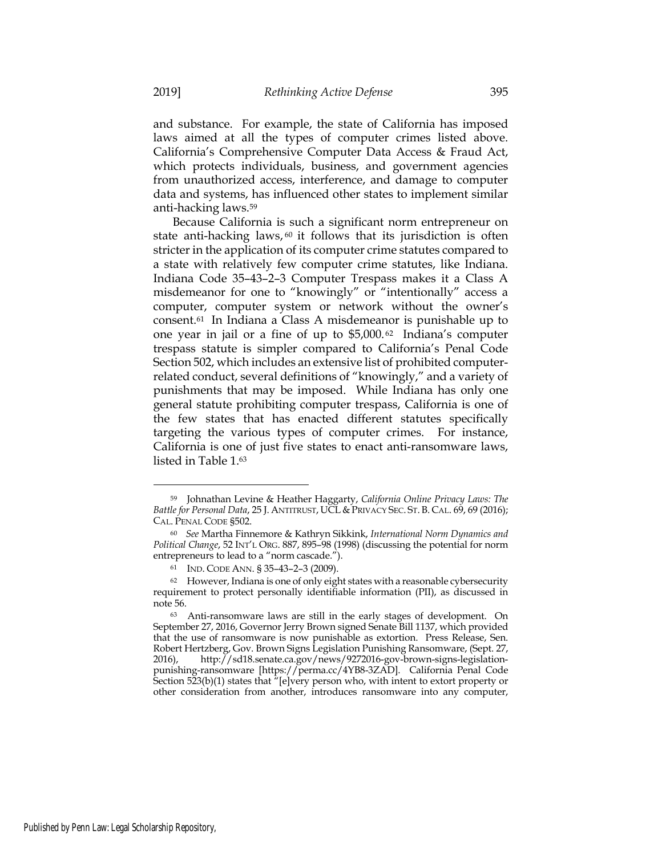and substance. For example, the state of California has imposed laws aimed at all the types of computer crimes listed above. California's Comprehensive Computer Data Access & Fraud Act, which protects individuals, business, and government agencies from unauthorized access, interference, and damage to computer data and systems, has influenced other states to implement similar anti-hacking laws.59

Because California is such a significant norm entrepreneur on state anti-hacking laws,  $60$  it follows that its jurisdiction is often stricter in the application of its computer crime statutes compared to a state with relatively few computer crime statutes, like Indiana. Indiana Code 35–43–2–3 Computer Trespass makes it a Class A misdemeanor for one to "knowingly" or "intentionally" access a computer, computer system or network without the owner's consent.61 In Indiana a Class A misdemeanor is punishable up to one year in jail or a fine of up to \$5,000. 62 Indiana's computer trespass statute is simpler compared to California's Penal Code Section 502, which includes an extensive list of prohibited computerrelated conduct, several definitions of "knowingly," and a variety of punishments that may be imposed. While Indiana has only one general statute prohibiting computer trespass, California is one of the few states that has enacted different statutes specifically targeting the various types of computer crimes. For instance, California is one of just five states to enact anti-ransomware laws, listed in Table 1.63

<sup>59</sup> Johnathan Levine & Heather Haggarty, *California Online Privacy Laws: The Battle for Personal Data*, 25 J. ANTITRUST, UCL & PRIVACY SEC. ST. B. CAL. 69, 69 (2016); CAL. PENAL CODE §502.

<sup>60</sup> *See* Martha Finnemore & Kathryn Sikkink, *International Norm Dynamics and Political Change*, 52 INT'L ORG. 887, 895–98 (1998) (discussing the potential for norm entrepreneurs to lead to a "norm cascade.").

<sup>61</sup> IND. CODE ANN. § 35–43–2–3 (2009).

<sup>62</sup> However, Indiana is one of only eight states with a reasonable cybersecurity requirement to protect personally identifiable information (PII), as discussed in note 56.

<sup>63</sup> Anti-ransomware laws are still in the early stages of development. On September 27, 2016, Governor Jerry Brown signed Senate Bill 1137, which provided that the use of ransomware is now punishable as extortion. Press Release, Sen. Robert Hertzberg, Gov. Brown Signs Legislation Punishing Ransomware, (Sept. 27, 2016), http://sd18.senate.ca.gov/news/9272016-gov-brown-signs-legislationpunishing-ransomware [https://perma.cc/4YB8-3ZAD]. California Penal Code Section 523(b)(1) states that "[e]very person who, with intent to extort property or other consideration from another, introduces ransomware into any computer,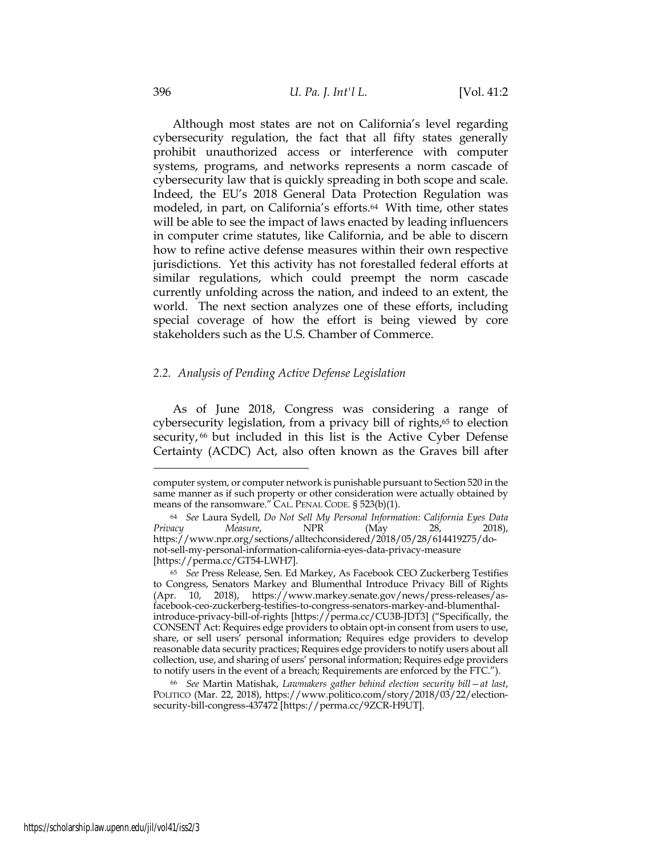Although most states are not on California's level regarding cybersecurity regulation, the fact that all fifty states generally prohibit unauthorized access or interference with computer systems, programs, and networks represents a norm cascade of cybersecurity law that is quickly spreading in both scope and scale. Indeed, the EU's 2018 General Data Protection Regulation was modeled, in part, on California's efforts.<sup>64</sup> With time, other states will be able to see the impact of laws enacted by leading influencers in computer crime statutes, like California, and be able to discern how to refine active defense measures within their own respective jurisdictions. Yet this activity has not forestalled federal efforts at similar regulations, which could preempt the norm cascade currently unfolding across the nation, and indeed to an extent, the world. The next section analyzes one of these efforts, including special coverage of how the effort is being viewed by core stakeholders such as the U.S. Chamber of Commerce.

## *2.2. Analysis of Pending Active Defense Legislation*

As of June 2018, Congress was considering a range of cybersecurity legislation, from a privacy bill of rights,<sup>65</sup> to election security,<sup>66</sup> but included in this list is the Active Cyber Defense Certainty (ACDC) Act, also often known as the Graves bill after

computer system, or computer network is punishable pursuant to Section 520 in the same manner as if such property or other consideration were actually obtained by means of the ransomware." CAL. PENAL CODE. § 523(b)(1).

<sup>64</sup> *See* Laura Sydell, *Do Not Sell My Personal Information: California Eyes Data Privacy Measure*, NPR (May 28, 2018), https://www.npr.org/sections/alltechconsidered/2018/05/28/614419275/donot-sell-my-personal-information-california-eyes-data-privacy-measure [https://perma.cc/GT54-LWH7].

<sup>65</sup> *See* Press Release, Sen. Ed Markey, As Facebook CEO Zuckerberg Testifies to Congress, Senators Markey and Blumenthal Introduce Privacy Bill of Rights (Apr. 10, 2018), https://www.markey.senate.gov/news/press-releases/asfacebook-ceo-zuckerberg-testifies-to-congress-senators-markey-and-blumenthalintroduce-privacy-bill-of-rights [https://perma.cc/CU3B-JDT3] ("Specifically, the CONSENT Act: Requires edge providers to obtain opt-in consent from users to use, share, or sell users' personal information; Requires edge providers to develop reasonable data security practices; Requires edge providers to notify users about all collection, use, and sharing of users' personal information; Requires edge providers to notify users in the event of a breach; Requirements are enforced by the FTC.").

<sup>66</sup> *See* Martin Matishak, *Lawmakers gather behind election security bill—at last*, POLITICO (Mar. 22, 2018), https://www.politico.com/story/2018/03/22/electionsecurity-bill-congress-437472 [https://perma.cc/9ZCR-H9UT].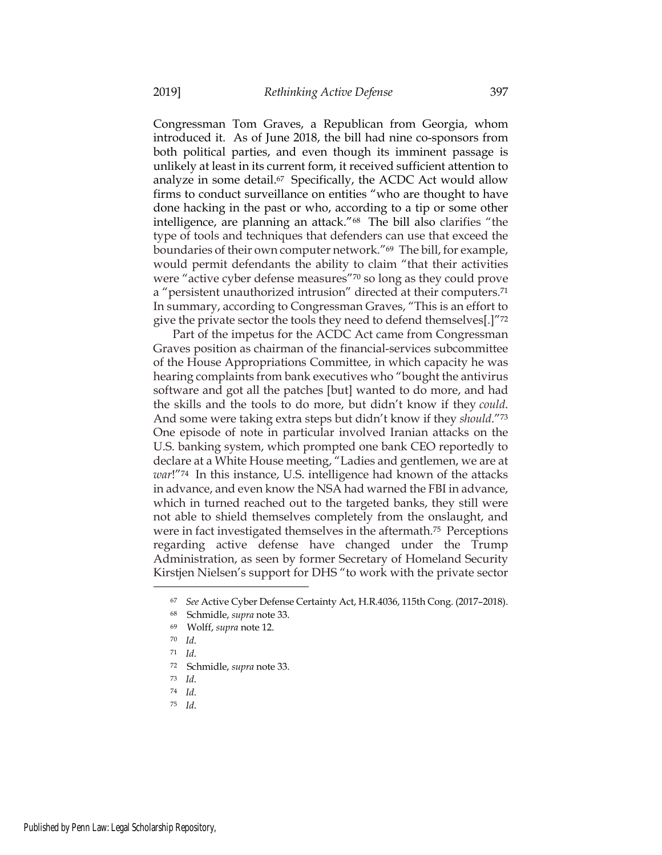Congressman Tom Graves, a Republican from Georgia, whom introduced it. As of June 2018, the bill had nine co-sponsors from both political parties, and even though its imminent passage is unlikely at least in its current form, it received sufficient attention to analyze in some detail.67 Specifically, the ACDC Act would allow firms to conduct surveillance on entities "who are thought to have done hacking in the past or who, according to a tip or some other intelligence, are planning an attack."68 The bill also clarifies "the type of tools and techniques that defenders can use that exceed the boundaries of their own computer network."69 The bill, for example, would permit defendants the ability to claim "that their activities were "active cyber defense measures"70 so long as they could prove a "persistent unauthorized intrusion" directed at their computers.71 In summary, according to Congressman Graves, "This is an effort to give the private sector the tools they need to defend themselves[.]"72

Part of the impetus for the ACDC Act came from Congressman Graves position as chairman of the financial-services subcommittee of the House Appropriations Committee, in which capacity he was hearing complaints from bank executives who "bought the antivirus software and got all the patches [but] wanted to do more, and had the skills and the tools to do more, but didn't know if they *could*. And some were taking extra steps but didn't know if they *should*."73 One episode of note in particular involved Iranian attacks on the U.S. banking system, which prompted one bank CEO reportedly to declare at a White House meeting, "Ladies and gentlemen, we are at *war*!"74 In this instance, U.S. intelligence had known of the attacks in advance, and even know the NSA had warned the FBI in advance, which in turned reached out to the targeted banks, they still were not able to shield themselves completely from the onslaught, and were in fact investigated themselves in the aftermath.75 Perceptions regarding active defense have changed under the Trump Administration, as seen by former Secretary of Homeland Security Kirstjen Nielsen's support for DHS "to work with the private sector

<sup>67</sup> *See* Active Cyber Defense Certainty Act, H.R.4036, 115th Cong. (2017–2018).

<sup>68</sup> Schmidle, *supra* note 33.

<sup>69</sup> Wolff, *supra* note 12.

<sup>70</sup> *Id*.

<sup>71</sup> *Id*.

<sup>72</sup> Schmidle, *supra* note 33.

<sup>73</sup> *Id*.

<sup>74</sup> *Id*.

<sup>75</sup> *Id*.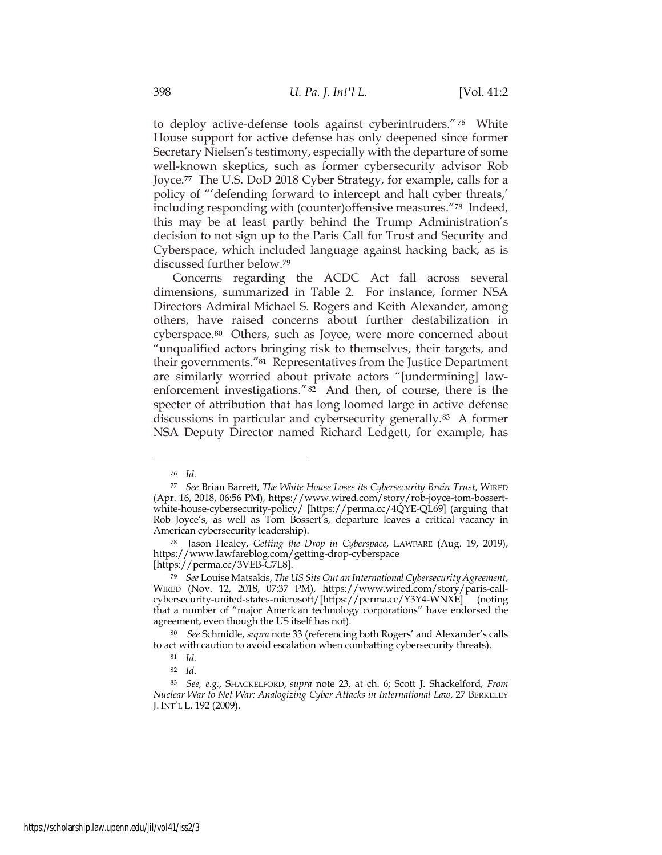to deploy active-defense tools against cyberintruders." <sup>76</sup> White House support for active defense has only deepened since former Secretary Nielsen's testimony, especially with the departure of some well-known skeptics, such as former cybersecurity advisor Rob Joyce.77 The U.S. DoD 2018 Cyber Strategy, for example, calls for a policy of "'defending forward to intercept and halt cyber threats,' including responding with (counter)offensive measures."78 Indeed, this may be at least partly behind the Trump Administration's decision to not sign up to the Paris Call for Trust and Security and Cyberspace, which included language against hacking back, as is discussed further below.79

Concerns regarding the ACDC Act fall across several dimensions, summarized in Table 2. For instance, former NSA Directors Admiral Michael S. Rogers and Keith Alexander, among others, have raised concerns about further destabilization in cyberspace.80 Others, such as Joyce, were more concerned about "unqualified actors bringing risk to themselves, their targets, and their governments."81 Representatives from the Justice Department are similarly worried about private actors "[undermining] lawenforcement investigations."82 And then, of course, there is the specter of attribution that has long loomed large in active defense discussions in particular and cybersecurity generally.83 A former NSA Deputy Director named Richard Ledgett, for example, has

<sup>76</sup> *Id*.

<sup>77</sup> *See* Brian Barrett, *The White House Loses its Cybersecurity Brain Trust*, WIRED (Apr. 16, 2018, 06:56 PM), https://www.wired.com/story/rob-joyce-tom-bossertwhite-house-cybersecurity-policy/ [https://perma.cc/4QYE-QL69] (arguing that Rob Joyce's, as well as Tom Bossert's, departure leaves a critical vacancy in American cybersecurity leadership).

<sup>78</sup> Jason Healey, *Getting the Drop in Cyberspace*, LAWFARE (Aug. 19, 2019), https://www.lawfareblog.com/getting-drop-cyberspace

<sup>[</sup>https://perma.cc/3VEB-G7L8].

<sup>79</sup> *See* Louise Matsakis, *The US Sits Out an International Cybersecurity Agreement*, WIRED (Nov. 12, 2018, 07:37 PM), https://www.wired.com/story/paris-callcybersecurity-united-states-microsoft/[https://perma.cc/Y3Y4-WNXE] (noting that a number of "major American technology corporations" have endorsed the agreement, even though the US itself has not).

<sup>80</sup> *See* Schmidle, *supra* note 33 (referencing both Rogers' and Alexander's calls to act with caution to avoid escalation when combatting cybersecurity threats).

<sup>81</sup> *Id*.

<sup>82</sup> *Id*.

<sup>83</sup> *See, e.g.*, SHACKELFORD, *supra* note 23, at ch. 6; Scott J. Shackelford, *From Nuclear War to Net War: Analogizing Cyber Attacks in International Law*, 27 BERKELEY J. INT'L L. 192 (2009).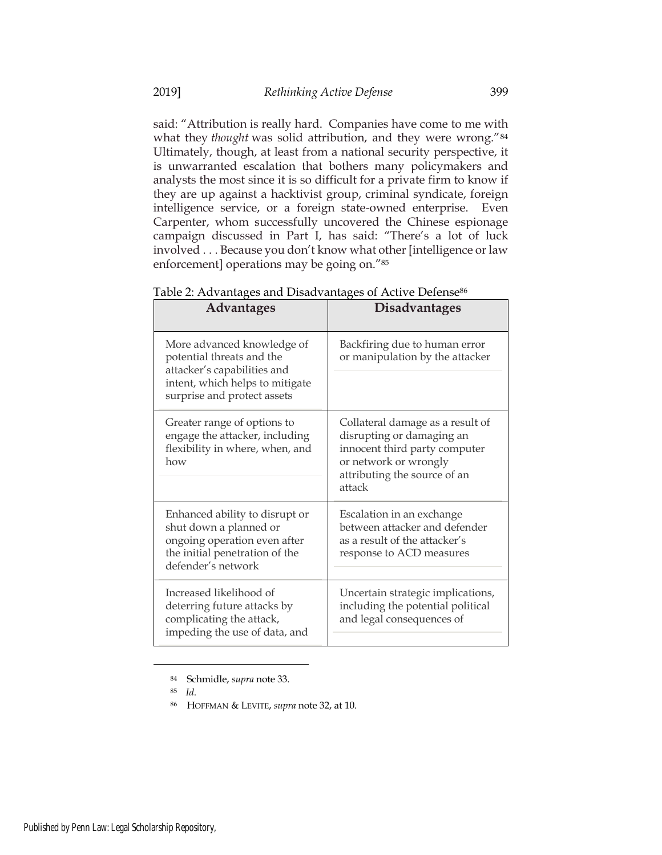said: "Attribution is really hard. Companies have come to me with what they *thought* was solid attribution, and they were wrong."84 Ultimately, though, at least from a national security perspective, it is unwarranted escalation that bothers many policymakers and analysts the most since it is so difficult for a private firm to know if they are up against a hacktivist group, criminal syndicate, foreign intelligence service, or a foreign state-owned enterprise. Even Carpenter, whom successfully uncovered the Chinese espionage campaign discussed in Part I, has said: "There's a lot of luck involved . . . Because you don't know what other [intelligence or law enforcement] operations may be going on."85

| <b>Advantages</b>                                                                                                                                        | <b>Disadvantages</b>                                                                                                                                              |  |  |  |
|----------------------------------------------------------------------------------------------------------------------------------------------------------|-------------------------------------------------------------------------------------------------------------------------------------------------------------------|--|--|--|
| More advanced knowledge of<br>potential threats and the<br>attacker's capabilities and<br>intent, which helps to mitigate<br>surprise and protect assets | Backfiring due to human error<br>or manipulation by the attacker                                                                                                  |  |  |  |
| Greater range of options to<br>engage the attacker, including<br>flexibility in where, when, and<br>how                                                  | Collateral damage as a result of<br>disrupting or damaging an<br>innocent third party computer<br>or network or wrongly<br>attributing the source of an<br>attack |  |  |  |
| Enhanced ability to disrupt or<br>shut down a planned or<br>ongoing operation even after<br>the initial penetration of the<br>defender's network         | Escalation in an exchange<br>between attacker and defender<br>as a result of the attacker's<br>response to ACD measures                                           |  |  |  |
| Increased likelihood of<br>deterring future attacks by<br>complicating the attack,<br>impeding the use of data, and                                      | Uncertain strategic implications,<br>including the potential political<br>and legal consequences of                                                               |  |  |  |

Table 2: Advantages and Disadvantages of Active Defense<sup>86</sup>

<sup>84</sup> Schmidle, *supra* note 33.

<sup>85</sup> *Id*.

<sup>86</sup> HOFFMAN & LEVITE, *supra* note 32, at 10.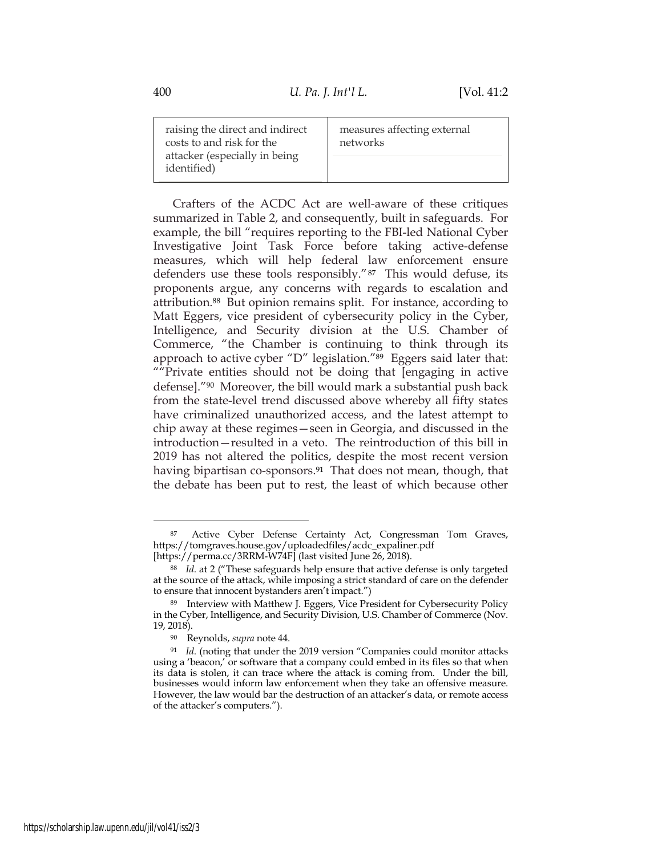| raising the direct and indirect |                                              | measures affecting external |
|---------------------------------|----------------------------------------------|-----------------------------|
| costs to and risk for the       |                                              | networks                    |
|                                 | attacker (especially in being<br>identified) |                             |

Crafters of the ACDC Act are well-aware of these critiques summarized in Table 2, and consequently, built in safeguards. For example, the bill "requires reporting to the FBI-led National Cyber Investigative Joint Task Force before taking active-defense measures, which will help federal law enforcement ensure defenders use these tools responsibly."87 This would defuse, its proponents argue, any concerns with regards to escalation and attribution.88 But opinion remains split. For instance, according to Matt Eggers, vice president of cybersecurity policy in the Cyber, Intelligence, and Security division at the U.S. Chamber of Commerce, "the Chamber is continuing to think through its approach to active cyber "D" legislation."<sup>89</sup> Eggers said later that: ""Private entities should not be doing that [engaging in active defense]."90 Moreover, the bill would mark a substantial push back from the state-level trend discussed above whereby all fifty states have criminalized unauthorized access, and the latest attempt to chip away at these regimes—seen in Georgia, and discussed in the introduction—resulted in a veto. The reintroduction of this bill in 2019 has not altered the politics, despite the most recent version having bipartisan co-sponsors.<sup>91</sup> That does not mean, though, that the debate has been put to rest, the least of which because other

<sup>87</sup> Active Cyber Defense Certainty Act, Congressman Tom Graves, https://tomgraves.house.gov/uploadedfiles/acdc\_expaliner.pdf [https://perma.cc/3RRM-W74F] (last visited June 26, 2018).

<sup>88</sup> *Id*. at 2 ("These safeguards help ensure that active defense is only targeted at the source of the attack, while imposing a strict standard of care on the defender to ensure that innocent bystanders aren't impact.")

<sup>89</sup> Interview with Matthew J. Eggers, Vice President for Cybersecurity Policy in the Cyber, Intelligence, and Security Division, U.S. Chamber of Commerce (Nov. 19, 2018).

<sup>90</sup> Reynolds, *supra* note 44.

<sup>91</sup> *Id*. (noting that under the 2019 version "Companies could monitor attacks using a 'beacon,' or software that a company could embed in its files so that when its data is stolen, it can trace where the attack is coming from. Under the bill, businesses would inform law enforcement when they take an offensive measure. However, the law would bar the destruction of an attacker's data, or remote access of the attacker's computers.").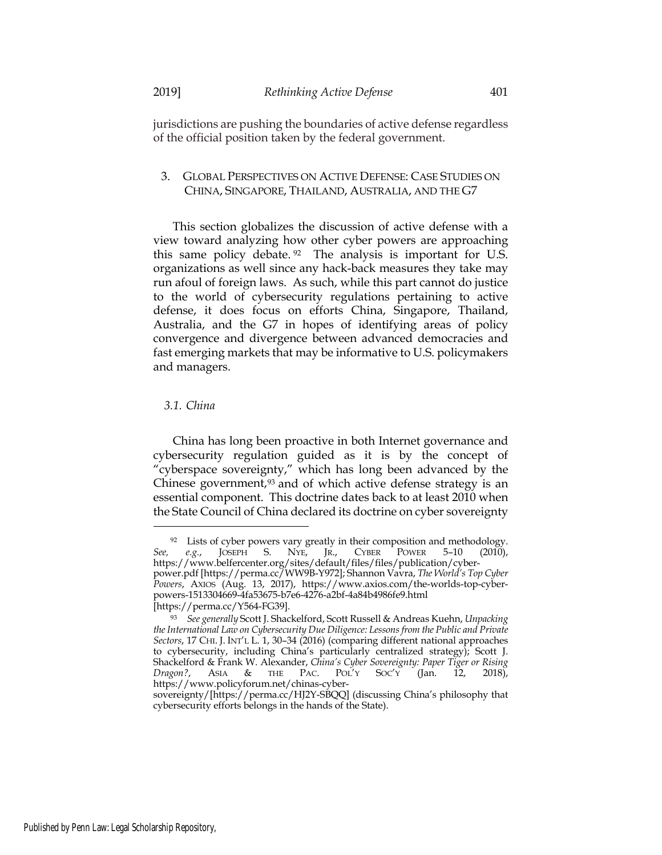jurisdictions are pushing the boundaries of active defense regardless of the official position taken by the federal government.

## 3. GLOBAL PERSPECTIVES ON ACTIVE DEFENSE: CASE STUDIES ON CHINA, SINGAPORE, THAILAND, AUSTRALIA, AND THE G7

This section globalizes the discussion of active defense with a view toward analyzing how other cyber powers are approaching this same policy debate. <sup>92</sup> The analysis is important for U.S. organizations as well since any hack-back measures they take may run afoul of foreign laws. As such, while this part cannot do justice to the world of cybersecurity regulations pertaining to active defense, it does focus on efforts China, Singapore, Thailand, Australia, and the G7 in hopes of identifying areas of policy convergence and divergence between advanced democracies and fast emerging markets that may be informative to U.S. policymakers and managers.

#### *3.1. China*

China has long been proactive in both Internet governance and cybersecurity regulation guided as it is by the concept of "cyberspace sovereignty," which has long been advanced by the Chinese government, $93$  and of which active defense strategy is an essential component. This doctrine dates back to at least 2010 when the State Council of China declared its doctrine on cyber sovereignty

<sup>&</sup>lt;sup>92</sup> Lists of cyber powers vary greatly in their composition and methodology.<br>See, e.g., JOSEPH S. NYE, JR., CYBER POWER 5-10 (2010), *See, e.g.*, JOSEPH S. NYE, JR., CYBER POWER 5–10 (2010), https://www.belfercenter.org/sites/default/files/files/publication/cyber-

power.pdf [https://perma.cc/WW9B-Y972]; Shannon Vavra, *The World's Top Cyber Powers*, AXIOS (Aug. 13, 2017), https://www.axios.com/the-worlds-top-cyberpowers-1513304669-4fa53675-b7e6-4276-a2bf-4a84b4986fe9.html

<sup>[</sup>https://perma.cc/Y564-FG39].

<sup>93</sup> *See generally* Scott J. Shackelford, Scott Russell & Andreas Kuehn, *Unpacking the International Law on Cybersecurity Due Diligence: Lessons from the Public and Private Sectors*, 17 CHI. J. INT'L L. 1, 30–34 (2016) (comparing different national approaches to cybersecurity, including China's particularly centralized strategy); Scott J. Shackelford & Frank W. Alexander, *China's Cyber Sovereignty: Paper Tiger or Rising Dragon?*, ASIA & THE PAC. POL'Y SOC'Y (Jan. 12, 2018), https://www.policyforum.net/chinas-cyber-

sovereignty/[https://perma.cc/HJ2Y-SBQQ] (discussing China's philosophy that cybersecurity efforts belongs in the hands of the State).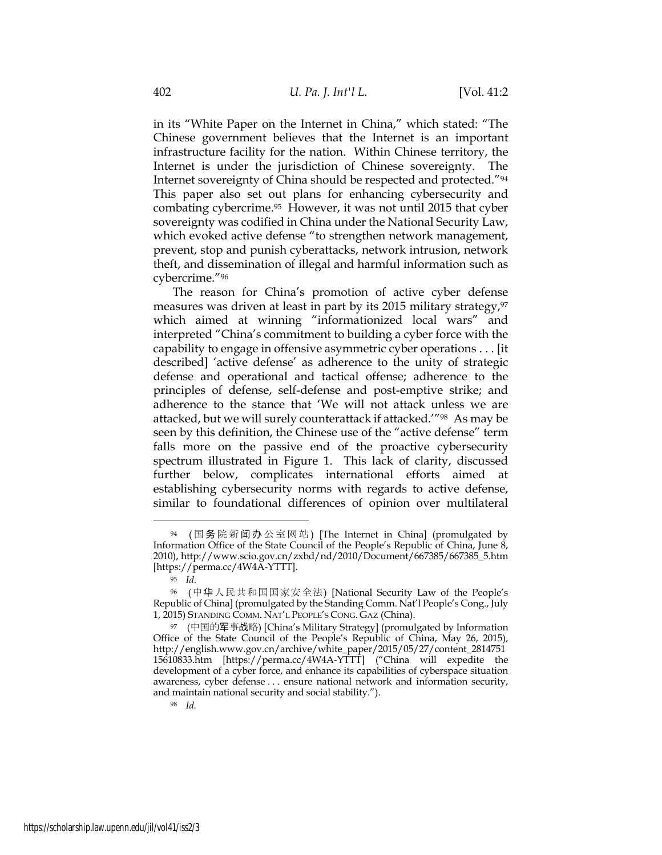in its "White Paper on the Internet in China," which stated: "The Chinese government believes that the Internet is an important infrastructure facility for the nation. Within Chinese territory, the Internet is under the jurisdiction of Chinese sovereignty. The Internet sovereignty of China should be respected and protected."94 This paper also set out plans for enhancing cybersecurity and combating cybercrime.95 However, it was not until 2015 that cyber sovereignty was codified in China under the National Security Law, which evoked active defense "to strengthen network management, prevent, stop and punish cyberattacks, network intrusion, network theft, and dissemination of illegal and harmful information such as cybercrime."96

The reason for China's promotion of active cyber defense measures was driven at least in part by its 2015 military strategy, $97$ which aimed at winning "informationized local wars" and interpreted "China's commitment to building a cyber force with the capability to engage in offensive asymmetric cyber operations . . . [it described] 'active defense' as adherence to the unity of strategic defense and operational and tactical offense; adherence to the principles of defense, self-defense and post-emptive strike; and adherence to the stance that 'We will not attack unless we are attacked, but we will surely counterattack if attacked.'"98 As may be seen by this definition, the Chinese use of the "active defense" term falls more on the passive end of the proactive cybersecurity spectrum illustrated in Figure 1. This lack of clarity, discussed further below, complicates international efforts aimed at establishing cybersecurity norms with regards to active defense, similar to foundational differences of opinion over multilateral

<sup>98</sup> *Id.*

<sup>94 (</sup>国务院新闻办公室网站) [The Internet in China] (promulgated by Information Office of the State Council of the People's Republic of China, June 8, 2010), http://www.scio.gov.cn/zxbd/nd/2010/Document/667385/667385\_5.htm [https://perma.cc/4W4A-YTTT].

<sup>95</sup> *Id*.

<sup>96</sup> (中华人民共和国国家安全法) [National Security Law of the People's Republic of China] (promulgated by the Standing Comm. Nat'l People's Cong., July 1, 2015) STANDING COMM. NAT'L PEOPLE'S CONG. GAZ (China).

<sup>97</sup> (中国的军事战略) [China's Military Strategy] (promulgated by Information Office of the State Council of the People's Republic of China, May 26, 2015), http://english.www.gov.cn/archive/white\_paper/2015/05/27/content\_2814751 15610833.htm [https://perma.cc/4W4A-YTTT] ("China will expedite the development of a cyber force, and enhance its capabilities of cyberspace situation awareness, cyber defense . . . ensure national network and information security, and maintain national security and social stability.").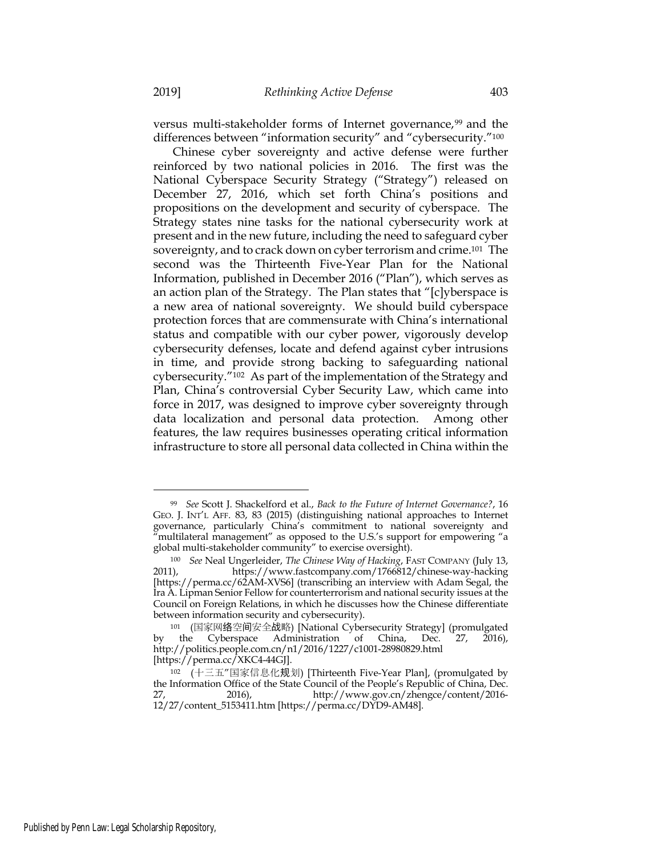versus multi-stakeholder forms of Internet governance,<sup>99</sup> and the differences between "information security" and "cybersecurity."100

Chinese cyber sovereignty and active defense were further reinforced by two national policies in 2016. The first was the National Cyberspace Security Strategy ("Strategy") released on December 27, 2016, which set forth China's positions and propositions on the development and security of cyberspace. The Strategy states nine tasks for the national cybersecurity work at present and in the new future, including the need to safeguard cyber sovereignty, and to crack down on cyber terrorism and crime.101 The second was the Thirteenth Five-Year Plan for the National Information, published in December 2016 ("Plan"), which serves as an action plan of the Strategy. The Plan states that "[c]yberspace is a new area of national sovereignty. We should build cyberspace protection forces that are commensurate with China's international status and compatible with our cyber power, vigorously develop cybersecurity defenses, locate and defend against cyber intrusions in time, and provide strong backing to safeguarding national cybersecurity."102 As part of the implementation of the Strategy and Plan, China's controversial Cyber Security Law, which came into force in 2017, was designed to improve cyber sovereignty through data localization and personal data protection. Among other features, the law requires businesses operating critical information infrastructure to store all personal data collected in China within the

<sup>99</sup> *See* Scott J. Shackelford et al., *Back to the Future of Internet Governance?*, 16 GEO. J. INT'L AFF. 83, 83 (2015) (distinguishing national approaches to Internet governance, particularly China's commitment to national sovereignty and "multilateral management" as opposed to the U.S.'s support for empowering "a global multi-stakeholder community" to exercise oversight).

<sup>100</sup> *See* Neal Ungerleider, *The Chinese Way of Hacking*, FAST COMPANY (July 13, 2011), https://www.fastcompany.com/1766812/chinese-way-hacking [https://perma.cc/62AM-XVS6] (transcribing an interview with Adam Segal, the Ira A. Lipman Senior Fellow for counterterrorism and national security issues at the Council on Foreign Relations, in which he discusses how the Chinese differentiate between information security and cybersecurity).

<sup>101 (</sup>国家网络空间安全战略) [National Cybersecurity Strategy] (promulgated by the Cyberspace Administration of China, Dec. 27, 2016), Administration of China, Dec. 27, 2016), http://politics.people.com.cn/n1/2016/1227/c1001-28980829.html [https://perma.cc/XKC4-44GJ].

<sup>102</sup> (十三五"国家信息化规划) [Thirteenth Five-Year Plan], (promulgated by the Information Office of the State Council of the People's Republic of China, Dec. 27, 2016), http://www.gov.cn/zhengce/content/2016- 12/27/content\_5153411.htm [https://perma.cc/DYD9-AM48].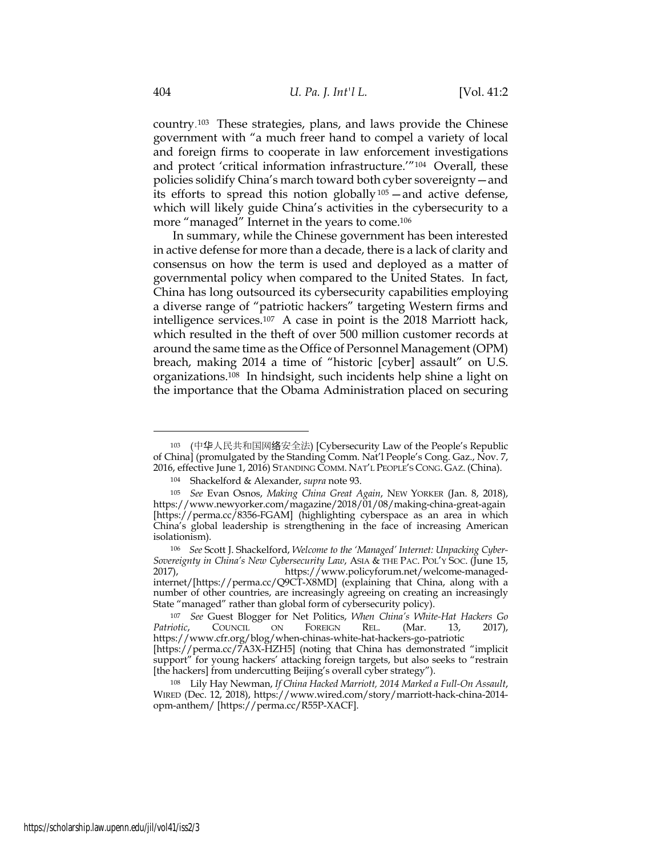country.103 These strategies, plans, and laws provide the Chinese government with "a much freer hand to compel a variety of local and foreign firms to cooperate in law enforcement investigations and protect 'critical information infrastructure.'"104 Overall, these policies solidify China's march toward both cyber sovereignty—and its efforts to spread this notion globally<sup>105</sup> — and active defense, which will likely guide China's activities in the cybersecurity to a more "managed" Internet in the years to come.<sup>106</sup>

In summary, while the Chinese government has been interested in active defense for more than a decade, there is a lack of clarity and consensus on how the term is used and deployed as a matter of governmental policy when compared to the United States. In fact, China has long outsourced its cybersecurity capabilities employing a diverse range of "patriotic hackers" targeting Western firms and intelligence services.107 A case in point is the 2018 Marriott hack, which resulted in the theft of over 500 million customer records at around the same time as the Office of Personnel Management (OPM) breach, making 2014 a time of "historic [cyber] assault" on U.S. organizations.108 In hindsight, such incidents help shine a light on the importance that the Obama Administration placed on securing

<sup>103</sup> (中华人民共和国网络安全法) [Cybersecurity Law of the People's Republic of China] (promulgated by the Standing Comm. Nat'l People's Cong. Gaz., Nov. 7, 2016, effective June 1, 2016) STANDING COMM. NAT'L PEOPLE'S CONG. GAZ. (China).

<sup>104</sup> Shackelford & Alexander, *supra* note 93.

<sup>105</sup> *See* Evan Osnos, *Making China Great Again*, NEW YORKER (Jan. 8, 2018), https://www.newyorker.com/magazine/2018/01/08/making-china-great-again [https://perma.cc/8356-FGAM] (highlighting cyberspace as an area in which China's global leadership is strengthening in the face of increasing American isolationism).

<sup>106</sup> *See* Scott J. Shackelford, *Welcome to the 'Managed' Internet: Unpacking Cyber-Sovereignty in China's New Cybersecurity Law*, ASIA & THE PAC. POL'Y SOC. (June 15, 2017), https://www.policyforum.net/welcome-managedinternet/[https://perma.cc/Q9CT-X8MD] (explaining that China, along with a number of other countries, are increasingly agreeing on creating an increasingly State "managed" rather than global form of cybersecurity policy).

<sup>107</sup> *See* Guest Blogger for Net Politics, *When China's White-Hat Hackers Go Patriotic*, COUNCIL ON FOREIGN REL. (Mar. 13, 2017), https://www.cfr.org/blog/when-chinas-white-hat-hackers-go-patriotic [https://perma.cc/7A3X-HZH5] (noting that China has demonstrated "implicit support" for young hackers' attacking foreign targets, but also seeks to "restrain

<sup>[</sup>the hackers] from undercutting Beijing's overall cyber strategy").

<sup>108</sup> Lily Hay Newman, *If China Hacked Marriott, 2014 Marked a Full-On Assault*, WIRED (Dec. 12, 2018), https://www.wired.com/story/marriott-hack-china-2014 opm-anthem/ [https://perma.cc/R55P-XACF].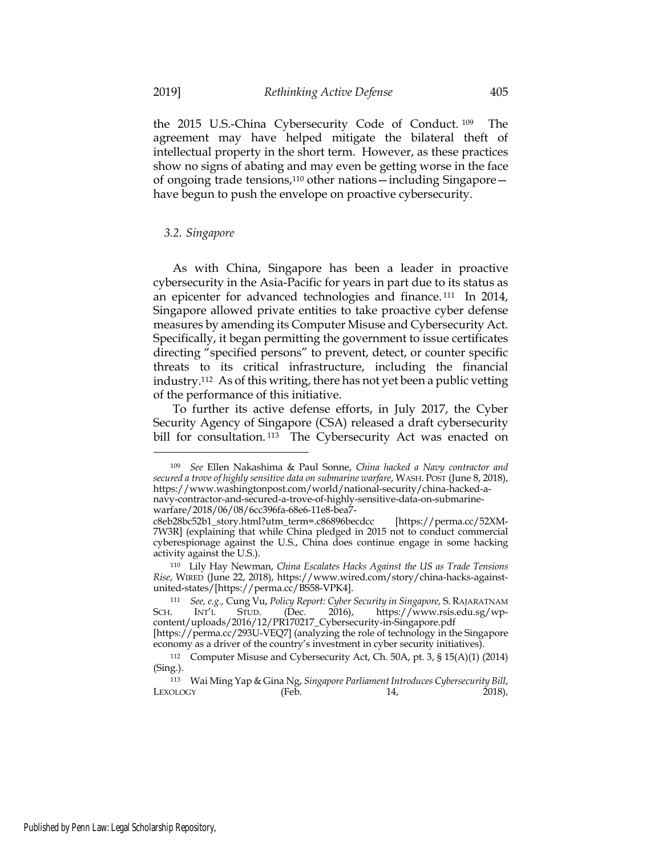the 2015 U.S.-China Cybersecurity Code of Conduct. <sup>109</sup> The agreement may have helped mitigate the bilateral theft of intellectual property in the short term. However, as these practices show no signs of abating and may even be getting worse in the face of ongoing trade tensions,110 other nations—including Singapore have begun to push the envelope on proactive cybersecurity.

#### *3.2. Singapore*

As with China, Singapore has been a leader in proactive cybersecurity in the Asia-Pacific for years in part due to its status as an epicenter for advanced technologies and finance. <sup>111</sup> In 2014, Singapore allowed private entities to take proactive cyber defense measures by amending its Computer Misuse and Cybersecurity Act. Specifically, it began permitting the government to issue certificates directing "specified persons" to prevent, detect, or counter specific threats to its critical infrastructure, including the financial industry.112 As of this writing, there has not yet been a public vetting of the performance of this initiative.

To further its active defense efforts, in July 2017, the Cyber Security Agency of Singapore (CSA) released a draft cybersecurity bill for consultation.<sup>113</sup> The Cybersecurity Act was enacted on

<sup>109</sup> *See* Ellen Nakashima & Paul Sonne, *China hacked a Navy contractor and secured a trove of highly sensitive data on submarine warfare*, WASH. POST (June 8, 2018), https://www.washingtonpost.com/world/national-security/china-hacked-anavy-contractor-and-secured-a-trove-of-highly-sensitive-data-on-submarinewarfare/2018/06/08/6cc396fa-68e6-11e8-bea7-

c8eb28bc52b1\_story.html?utm\_term=.c86896becdcc [https://perma.cc/52XM-7W3R] (explaining that while China pledged in 2015 not to conduct commercial cyberespionage against the U.S., China does continue engage in some hacking activity against the U.S.).

<sup>110</sup> Lily Hay Newman, *China Escalates Hacks Against the US as Trade Tensions Rise*, WIRED (June 22, 2018), https://www.wired.com/story/china-hacks-againstunited-states/[https://perma.cc/BS58-VPK4].

<sup>111</sup> *See, e.g.,* Cung Vu, *Policy Report: Cyber Security in Singapore,* S. RAJARATNAM SCH. INT'L STUD. (Dec. 2016), https://www.rsis.edu.sg/wpcontent/uploads/2016/12/PR170217\_Cybersecurity-in-Singapore.pdf

<sup>[</sup>https://perma.cc/293U-VEQ7] (analyzing the role of technology in the Singapore economy as a driver of the country's investment in cyber security initiatives).

<sup>112</sup> Computer Misuse and Cybersecurity Act, Ch. 50A, pt. 3, § 15(A)(1) (2014) (Sing.).

<sup>113</sup> Wai Ming Yap & Gina Ng, *Singapore Parliament Introduces Cybersecurity Bill*,  $LEXOLOGY$  (Feb. 14, 2018),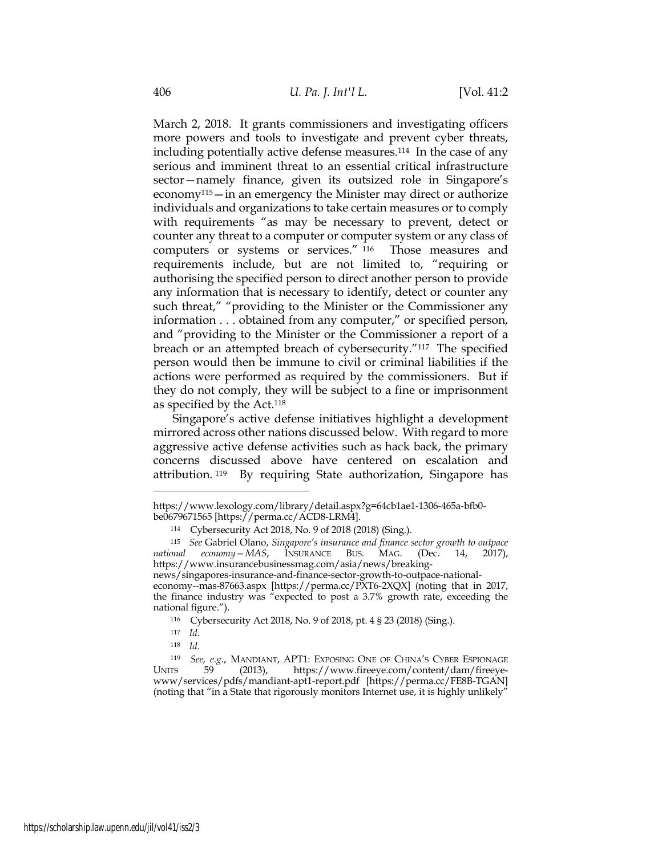March 2, 2018. It grants commissioners and investigating officers more powers and tools to investigate and prevent cyber threats, including potentially active defense measures.114 In the case of any serious and imminent threat to an essential critical infrastructure sector—namely finance, given its outsized role in Singapore's economy<sup>115</sup> — in an emergency the Minister may direct or authorize individuals and organizations to take certain measures or to comply with requirements "as may be necessary to prevent, detect or counter any threat to a computer or computer system or any class of computers or systems or services." <sup>116</sup> Those measures and requirements include, but are not limited to, "requiring or authorising the specified person to direct another person to provide any information that is necessary to identify, detect or counter any such threat," "providing to the Minister or the Commissioner any information . . . obtained from any computer," or specified person, and "providing to the Minister or the Commissioner a report of a breach or an attempted breach of cybersecurity."117 The specified person would then be immune to civil or criminal liabilities if the actions were performed as required by the commissioners. But if they do not comply, they will be subject to a fine or imprisonment as specified by the Act.118

Singapore's active defense initiatives highlight a development mirrored across other nations discussed below. With regard to more aggressive active defense activities such as hack back, the primary concerns discussed above have centered on escalation and attribution. <sup>119</sup> By requiring State authorization, Singapore has

<sup>118</sup> *Id*.

https://www.lexology.com/library/detail.aspx?g=64cb1ae1-1306-465a-bfb0 be0679671565 [https://perma.cc/ACD8-LRM4].

<sup>114</sup> Cybersecurity Act 2018, No. 9 of 2018 (2018) (Sing.).

<sup>115</sup> *See* Gabriel Olano, *Singapore's insurance and finance sector growth to outpace national economy—MAS*, INSURANCE BUS. MAG. (Dec. 14, 2017), https://www.insurancebusinessmag.com/asia/news/breakingnews/singapores-insurance-and-finance-sector-growth-to-outpace-nationaleconomy--mas-87663.aspx [https://perma.cc/PXT6-2XQX] (noting that in 2017, the finance industry was "expected to post a 3.7% growth rate, exceeding the national figure.").

<sup>116</sup> Cybersecurity Act 2018, No. 9 of 2018, pt. 4 § 23 (2018) (Sing.).

<sup>117</sup> *Id*.

<sup>119</sup> *See, e.g.*, MANDIANT, APT1: EXPOSING ONE OF CHINA'S CYBER ESPIONAGE https://www.fireeye.com/content/dam/fireeyewww/services/pdfs/mandiant-apt1-report.pdf [https://perma.cc/FE8B-TGAN] (noting that "in a State that rigorously monitors Internet use, it is highly unlikely"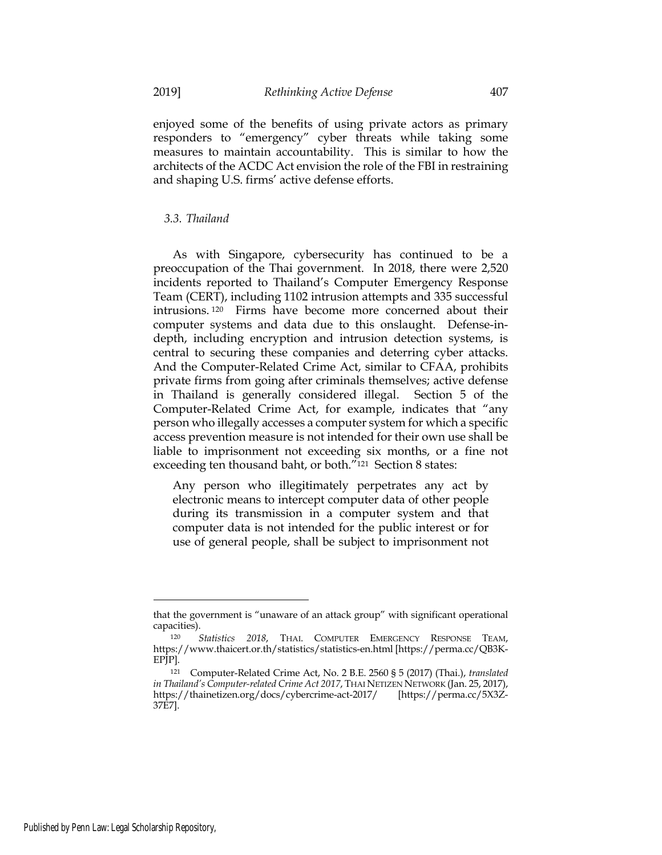enjoyed some of the benefits of using private actors as primary responders to "emergency" cyber threats while taking some measures to maintain accountability. This is similar to how the architects of the ACDC Act envision the role of the FBI in restraining and shaping U.S. firms' active defense efforts.

#### *3.3. Thailand*

As with Singapore, cybersecurity has continued to be a preoccupation of the Thai government. In 2018, there were 2,520 incidents reported to Thailand's Computer Emergency Response Team (CERT), including 1102 intrusion attempts and 335 successful intrusions. <sup>120</sup> Firms have become more concerned about their computer systems and data due to this onslaught. Defense-indepth, including encryption and intrusion detection systems, is central to securing these companies and deterring cyber attacks. And the Computer-Related Crime Act, similar to CFAA, prohibits private firms from going after criminals themselves; active defense in Thailand is generally considered illegal. Section 5 of the Computer-Related Crime Act, for example, indicates that "any person who illegally accesses a computer system for which a specific access prevention measure is not intended for their own use shall be liable to imprisonment not exceeding six months, or a fine not exceeding ten thousand baht, or both."121 Section 8 states:

Any person who illegitimately perpetrates any act by electronic means to intercept computer data of other people during its transmission in a computer system and that computer data is not intended for the public interest or for use of general people, shall be subject to imprisonment not

that the government is "unaware of an attack group" with significant operational capacities).

<sup>120</sup> *Statistics 2018*, THAI. COMPUTER EMERGENCY RESPONSE TEAM, https://www.thaicert.or.th/statistics/statistics-en.html [https://perma.cc/QB3K-EPJP].

<sup>121</sup> Computer-Related Crime Act, No. 2 B.E. 2560 § 5 (2017) (Thai.), *translated in Thailand's Computer-related Crime Act 2017*, THAI NETIZEN NETWORK (Jan. 25, 2017), https://thainetizen.org/docs/cybercrime-act-2017/ [https://perma.cc/5X3Z-37E7].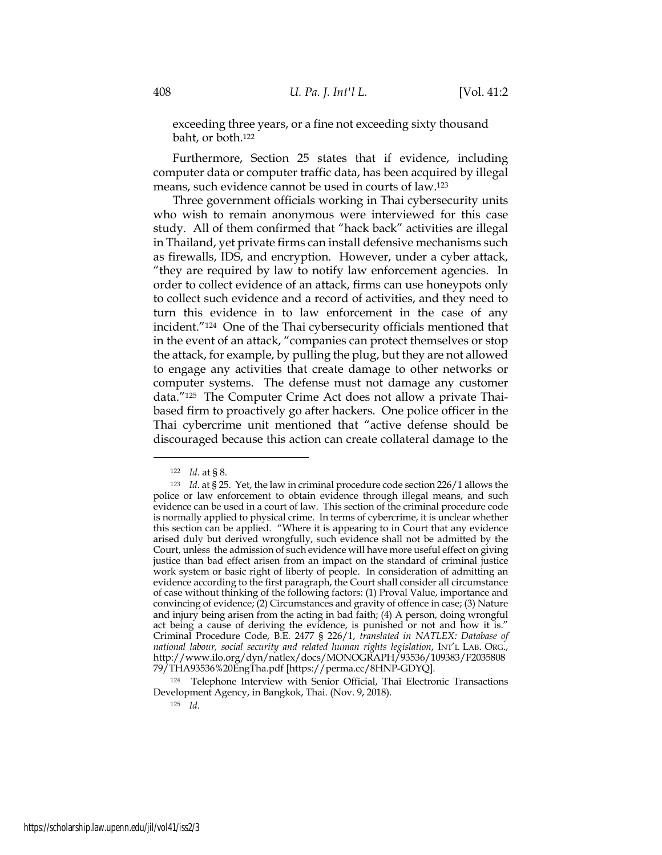exceeding three years, or a fine not exceeding sixty thousand baht, or both.122

Furthermore, Section 25 states that if evidence, including computer data or computer traffic data, has been acquired by illegal means, such evidence cannot be used in courts of law.123

Three government officials working in Thai cybersecurity units who wish to remain anonymous were interviewed for this case study. All of them confirmed that "hack back" activities are illegal in Thailand, yet private firms can install defensive mechanisms such as firewalls, IDS, and encryption. However, under a cyber attack, "they are required by law to notify law enforcement agencies. In order to collect evidence of an attack, firms can use honeypots only to collect such evidence and a record of activities, and they need to turn this evidence in to law enforcement in the case of any incident."124 One of the Thai cybersecurity officials mentioned that in the event of an attack, "companies can protect themselves or stop the attack, for example, by pulling the plug, but they are not allowed to engage any activities that create damage to other networks or computer systems. The defense must not damage any customer data."125 The Computer Crime Act does not allow a private Thaibased firm to proactively go after hackers. One police officer in the Thai cybercrime unit mentioned that "active defense should be discouraged because this action can create collateral damage to the

<sup>124</sup> Telephone Interview with Senior Official, Thai Electronic Transactions Development Agency, in Bangkok, Thai. (Nov. 9, 2018).

<sup>125</sup> *Id*.

<sup>122</sup> *Id*. at § 8.

<sup>123</sup> *Id*. at § 25. Yet, the law in criminal procedure code section 226/1 allows the police or law enforcement to obtain evidence through illegal means, and such evidence can be used in a court of law. This section of the criminal procedure code is normally applied to physical crime. In terms of cybercrime, it is unclear whether this section can be applied. "Where it is appearing to in Court that any evidence arised duly but derived wrongfully, such evidence shall not be admitted by the Court, unless the admission of such evidence will have more useful effect on giving justice than bad effect arisen from an impact on the standard of criminal justice work system or basic right of liberty of people. In consideration of admitting an evidence according to the first paragraph, the Court shall consider all circumstance of case without thinking of the following factors: (1) Proval Value, importance and convincing of evidence; (2) Circumstances and gravity of offence in case; (3) Nature and injury being arisen from the acting in bad faith; (4) A person, doing wrongful act being a cause of deriving the evidence, is punished or not and how it is." Criminal Procedure Code, B.E. 2477 § 226/1, *translated in NATLEX: Database of national labour, social security and related human rights legislation*, INT'L LAB. ORG., http://www.ilo.org/dyn/natlex/docs/MONOGRAPH/93536/109383/F2035808 79/THA93536%20EngTha.pdf [https://perma.cc/8HNP-GDYQ].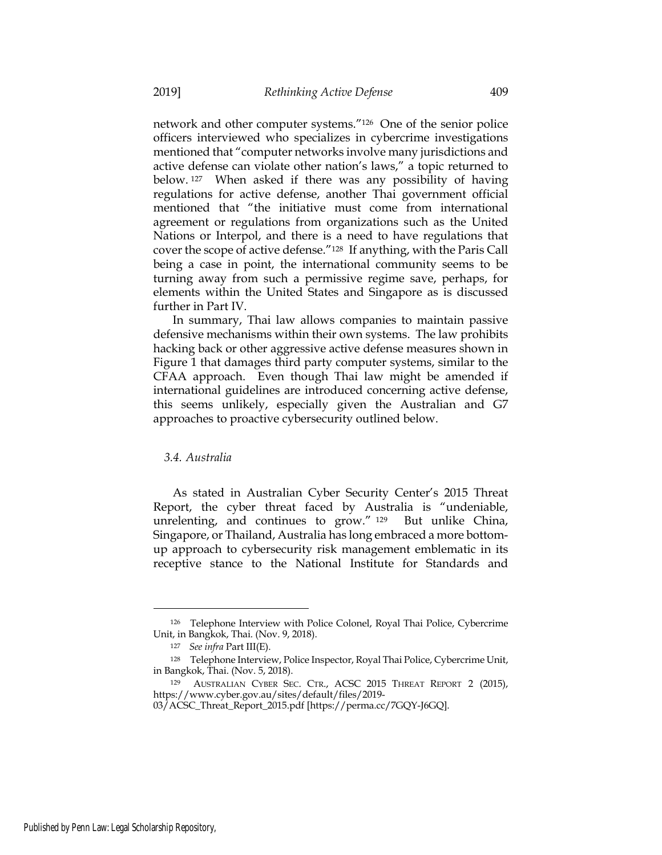network and other computer systems."126 One of the senior police officers interviewed who specializes in cybercrime investigations mentioned that "computer networks involve many jurisdictions and active defense can violate other nation's laws," a topic returned to below. <sup>127</sup> When asked if there was any possibility of having regulations for active defense, another Thai government official mentioned that "the initiative must come from international agreement or regulations from organizations such as the United Nations or Interpol, and there is a need to have regulations that cover the scope of active defense."128 If anything, with the Paris Call being a case in point, the international community seems to be turning away from such a permissive regime save, perhaps, for elements within the United States and Singapore as is discussed further in Part IV.

In summary, Thai law allows companies to maintain passive defensive mechanisms within their own systems. The law prohibits hacking back or other aggressive active defense measures shown in Figure 1 that damages third party computer systems, similar to the CFAA approach. Even though Thai law might be amended if international guidelines are introduced concerning active defense, this seems unlikely, especially given the Australian and G7 approaches to proactive cybersecurity outlined below.

#### *3.4. Australia*

As stated in Australian Cyber Security Center's 2015 Threat Report, the cyber threat faced by Australia is "undeniable, unrelenting, and continues to grow." <sup>129</sup> But unlike China, Singapore, or Thailand, Australia has long embraced a more bottomup approach to cybersecurity risk management emblematic in its receptive stance to the National Institute for Standards and

<sup>126</sup> Telephone Interview with Police Colonel, Royal Thai Police, Cybercrime Unit, in Bangkok, Thai. (Nov. 9, 2018).

<sup>127</sup> *See infra* Part III(E).

<sup>128</sup> Telephone Interview, Police Inspector, Royal Thai Police, Cybercrime Unit, in Bangkok, Thai. (Nov. 5, 2018).

<sup>129</sup> AUSTRALIAN CYBER SEC. CTR., ACSC 2015 THREAT REPORT 2 (2015), https://www.cyber.gov.au/sites/default/files/2019-

<sup>03/</sup>ACSC\_Threat\_Report\_2015.pdf [https://perma.cc/7GQY-J6GQ].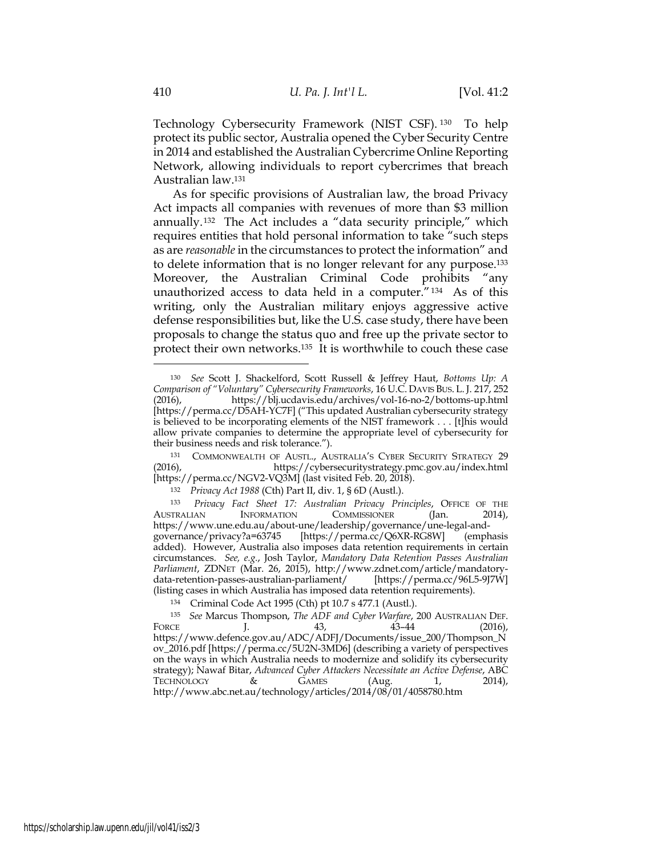Technology Cybersecurity Framework (NIST CSF). <sup>130</sup> To help protect its public sector, Australia opened the Cyber Security Centre in 2014 and established the Australian Cybercrime Online Reporting Network, allowing individuals to report cybercrimes that breach Australian law.131

As for specific provisions of Australian law, the broad Privacy Act impacts all companies with revenues of more than \$3 million annually.132 The Act includes a "data security principle," which requires entities that hold personal information to take "such steps as are *reasonable* in the circumstances to protect the information" and to delete information that is no longer relevant for any purpose.133 Moreover, the Australian Criminal Code prohibits "any unauthorized access to data held in a computer."134 As of this writing, only the Australian military enjoys aggressive active defense responsibilities but, like the U.S. case study, there have been proposals to change the status quo and free up the private sector to protect their own networks.135 It is worthwhile to couch these case

<sup>130</sup> *See* Scott J. Shackelford, Scott Russell & Jeffrey Haut, *Bottoms Up: A Comparison of "Voluntary" Cybersecurity Frameworks*, 16 U.C. DAVIS BUS. L. J. 217, 252 (2016), https://blj.ucdavis.edu/archives/vol-16-no-2/bottoms-up.html [https://perma.cc/D5AH-YC7F] ("This updated Australian cybersecurity strategy is believed to be incorporating elements of the NIST framework . . . [t]his would allow private companies to determine the appropriate level of cybersecurity for their business needs and risk tolerance.").

<sup>131</sup> COMMONWEALTH OF AUSTL., AUSTRALIA'S CYBER SECURITY STRATEGY 29 (2016), https://cybersecuritystrategy.pmc.gov.au/index.html [https://perma.cc/NGV2-VQ3M] (last visited Feb. 20, 2018).

<sup>132</sup> *Privacy Act 1988* (Cth) Part II, div. 1, § 6D (Austl.).

<sup>133</sup> *Privacy Fact Sheet 17: Australian Privacy Principles*, OFFICE OF THE INFORMATION COMMISSIONER (Jan. 2014), https://www.une.edu.au/about-une/leadership/governance/une-legal-and-<br>governance/privacy?a=63745 [https://perma.cc/Q6XR-RG8W] (emphasis governance/privacy?a=63745 [https://perma.cc/Q6XR-RG8W] added). However, Australia also imposes data retention requirements in certain circumstances. *See, e.g.*, Josh Taylor, *Mandatory Data Retention Passes Australian Parliament*, ZDNET (Mar. 26, 2015), http://www.zdnet.com/article/mandatorydata-retention-passes-australian-parliament/ [https://perma.cc/96L5-9J7W] (listing cases in which Australia has imposed data retention requirements).

<sup>134</sup> Criminal Code Act 1995 (Cth) pt 10.7 s 477.1 (Austl.).

<sup>135</sup> *See* Marcus Thompson, *The ADF and Cyber Warfare*, 200 AUSTRALIAN DEF. FORCE J. 43, 43–44 (2016), https://www.defence.gov.au/ADC/ADFJ/Documents/issue\_200/Thompson\_N ov\_2016.pdf [https://perma.cc/5U2N-3MD6] (describing a variety of perspectives on the ways in which Australia needs to modernize and solidify its cybersecurity strategy); Nawaf Bitar, *Advanced Cyber Attackers Necessitate an Active Defense*, ABC TECHNOLOGY & GAMES (Aug. 1, 2014), http://www.abc.net.au/technology/articles/2014/08/01/4058780.htm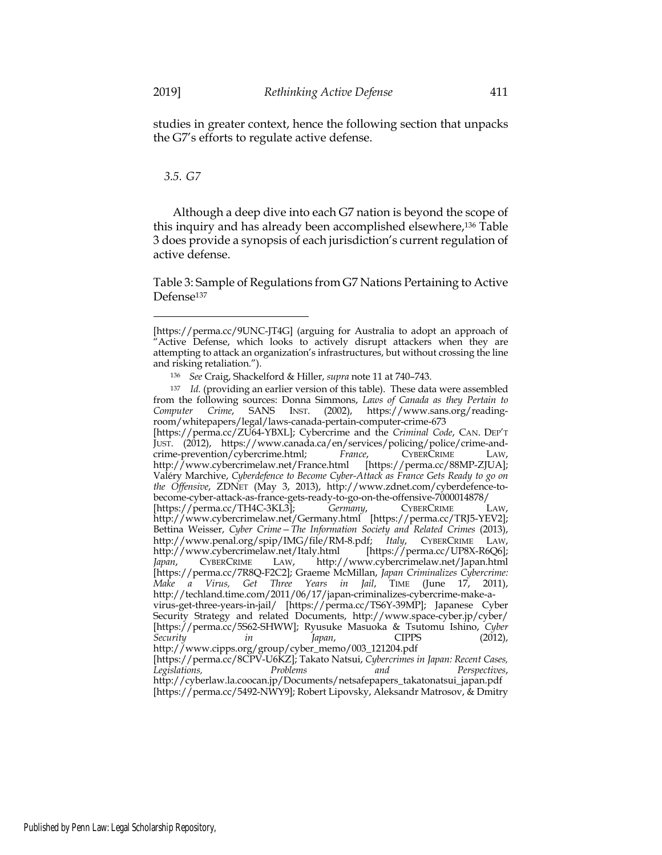studies in greater context, hence the following section that unpacks the G7's efforts to regulate active defense.

## *3.5. G7*

Although a deep dive into each G7 nation is beyond the scope of this inquiry and has already been accomplished elsewhere,136 Table 3 does provide a synopsis of each jurisdiction's current regulation of active defense.

Table 3: Sample of Regulations from G7 Nations Pertaining to Active Defense137

<sup>[</sup>https://perma.cc/9UNC-JT4G] (arguing for Australia to adopt an approach of Active Defense, which looks to actively disrupt attackers when they are attempting to attack an organization's infrastructures, but without crossing the line and risking retaliation.").

<sup>136</sup> *See* Craig, Shackelford & Hiller, *supra* note 11 at 740–743.

<sup>137</sup> *Id.* (providing an earlier version of this table). These data were assembled from the following sources: Donna Simmons, *Laws of Canada as they Pertain to Computer Crime*, SANS INST. (2002), https://www.sans.org/readingroom/whitepapers/legal/laws-canada-pertain-computer-crime-673

<sup>[</sup>https://perma.cc/ZU64-YBXL]; Cybercrime and the *Criminal Code*, CAN. DEP'T JUST. (2012), https://www.canada.ca/en/services/policing/police/crime-andcrime-prevention/cybercrime.html; *France*, CYBERCRIME LAW, http://www.cybercrimelaw.net/France.html Valéry Marchive, *Cyberdefence to Become Cyber-Attack as France Gets Ready to go on the Offensive*, ZDNET (May 3, 2013), http://www.zdnet.com/cyberdefence-tobecome-cyber-attack-as-france-gets-ready-to-go-on-the-offensive-7000014878/ [https://perma.cc/TH4C-3KL3]; *Germany*, CYBERCRIME LAW, http://www.cybercrimelaw.net/Germany.html [https://perma.cc/TRJ5-YEV2]; Bettina Weisser, *Cyber Crime—The Information Society and Related Crimes* (2013), http://www.penal.org/spip/IMG/file/RM-8.pdf; *Italy*, CYBERCRIME LAW, http://www.cybercrimelaw.net/Italy.html [https://perma.cc/UP8X-R6Q6]; *Japan*, CYBERCRIME LAW, http://www.cybercrimelaw.net/Japan.html [https://perma.cc/7R8Q-F2C2]; Graeme McMillan, *Japan Criminalizes Cybercrime: Make a Virus, Get Three Years in Jail*, TIME (June 17, 2011), http://techland.time.com/2011/06/17/japan-criminalizes-cybercrime-make-avirus-get-three-years-in-jail/ [https://perma.cc/TS6Y-39MP]; Japanese Cyber Security Strategy and related Documents, http://www.space-cyber.jp/cyber/ [https://perma.cc/5S62-SHWW]; Ryusuke Masuoka & Tsutomu Ishino, *Cyber Security in Japan*, CIPPS (2012),

http://www.cipps.org/group/cyber\_memo/003\_121204.pdf [https://perma.cc/8CPV-U6KZ]; Takato Natsui, *Cybercrimes in Japan: Recent Cases, Legislations, Problems and Perspectives*, http://cyberlaw.la.coocan.jp/Documents/netsafepapers\_takatonatsui\_japan.pdf [https://perma.cc/5492-NWY9]; Robert Lipovsky, Aleksandr Matrosov, & Dmitry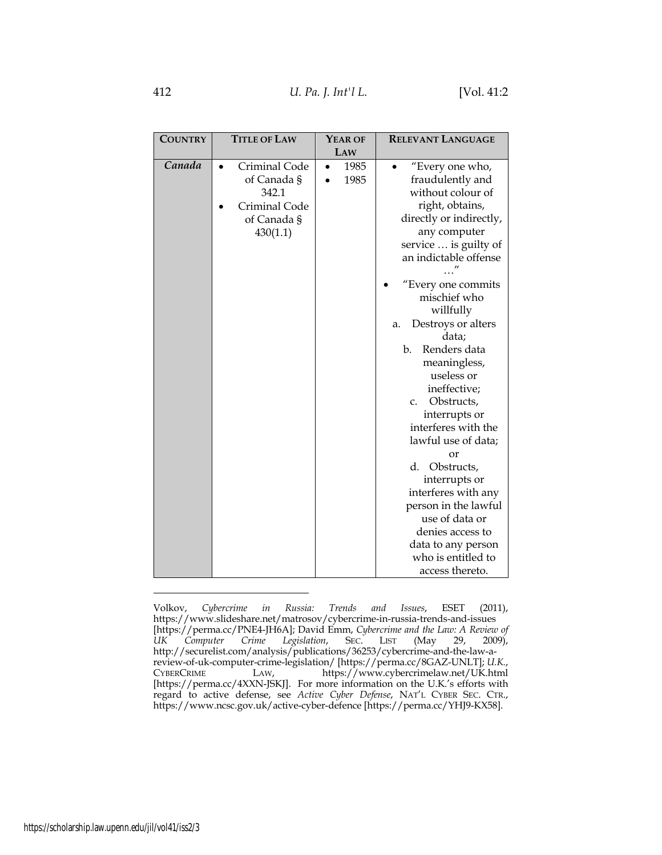Volkov, *Cybercrime in Russia: Trends and Issues*, ESET (2011), https://www.slideshare.net/matrosov/cybercrime-in-russia-trends-and-issues [https://perma.cc/PNE4-JH6A]; David Emm, *Cybercrime and the Law: A Review of*  UK Computer Crime Legislation, SEC. LIST (May http://securelist.com/analysis/publications/36253/cybercrime-and-the-law-areview-of-uk-computer-crime-legislation/ [https://perma.cc/8GAZ-UNLT]; *U.K.*, LAW, https://www.cybercrimelaw.net/UK.html [https://perma.cc/4XXN-JSKJ]. For more information on the U.K.'s efforts with regard to active defense, see *Active Cyber Defense*, NAT'L CYBER SEC. CTR., https://www.ncsc.gov.uk/active-cyber-defence [https://perma.cc/YHJ9-KX58].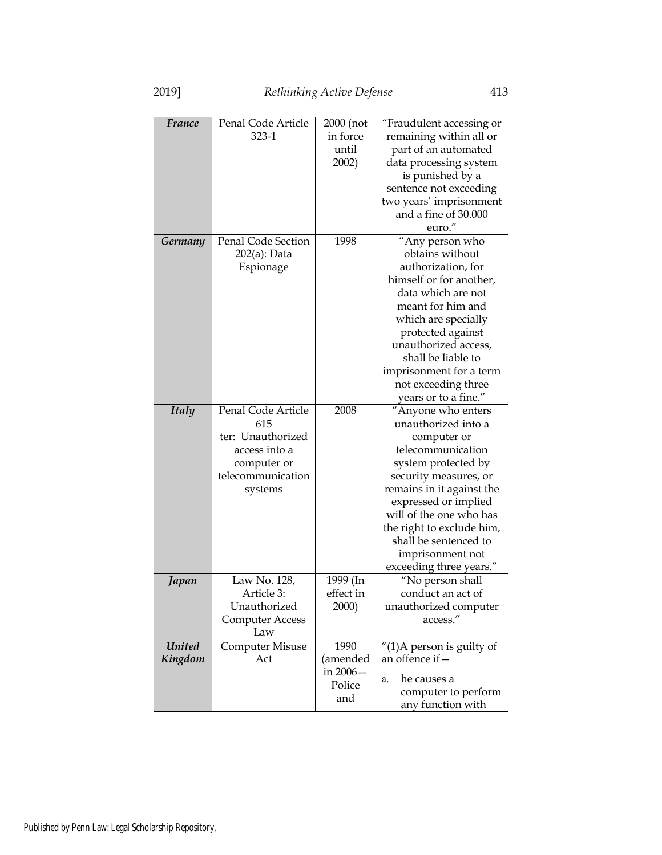| France        | Penal Code Article            | 2000 (not             | "Fraudulent accessing or              |  |
|---------------|-------------------------------|-----------------------|---------------------------------------|--|
|               | $323 - 1$                     | in force              | remaining within all or               |  |
|               |                               | until                 | part of an automated                  |  |
|               |                               | 2002)                 | data processing system                |  |
|               |                               |                       | is punished by a                      |  |
|               |                               |                       | sentence not exceeding                |  |
|               |                               |                       | two years' imprisonment               |  |
|               |                               |                       | and a fine of 30.000                  |  |
|               |                               |                       | euro."                                |  |
| Germany       | <b>Penal Code Section</b>     | 1998                  | "Any person who                       |  |
|               | 202(a): Data                  |                       | obtains without                       |  |
|               | Espionage                     |                       | authorization, for                    |  |
|               |                               |                       | himself or for another,               |  |
|               |                               |                       | data which are not                    |  |
|               |                               |                       | meant for him and                     |  |
|               |                               |                       | which are specially                   |  |
|               |                               |                       | protected against                     |  |
|               |                               |                       | unauthorized access,                  |  |
|               |                               |                       | shall be liable to                    |  |
|               |                               |                       | imprisonment for a term               |  |
|               |                               |                       | not exceeding three                   |  |
|               |                               |                       | years or to a fine."                  |  |
| <b>Italy</b>  | Penal Code Article            | 2008                  | "Anyone who enters                    |  |
|               | 615                           |                       | unauthorized into a                   |  |
|               | ter: Unauthorized             |                       | computer or                           |  |
|               | access into a                 |                       | telecommunication                     |  |
|               | computer or                   |                       | system protected by                   |  |
|               | telecommunication             |                       | security measures, or                 |  |
|               | systems                       |                       | remains in it against the             |  |
|               |                               |                       | expressed or implied                  |  |
|               |                               |                       | will of the one who has               |  |
|               |                               |                       | the right to exclude him,             |  |
|               |                               |                       | shall be sentenced to                 |  |
|               |                               |                       | imprisonment not                      |  |
|               | Law No. 128,                  |                       | exceeding three years."               |  |
| Japan         | Article 3:                    | 1999 (In<br>effect in | "No person shall<br>conduct an act of |  |
|               | Unauthorized                  | 2000)                 | unauthorized computer                 |  |
|               |                               |                       | access."                              |  |
|               | <b>Computer Access</b><br>Law |                       |                                       |  |
| <b>United</b> | <b>Computer Misuse</b>        | 1990                  | $''(1)$ A person is guilty of         |  |
| Kingdom       | Act                           | (amended              | an offence if -                       |  |
|               |                               | in $2006 -$           |                                       |  |
|               |                               | Police                | he causes a<br>a.                     |  |
|               |                               | and                   | computer to perform                   |  |
|               |                               |                       | any function with                     |  |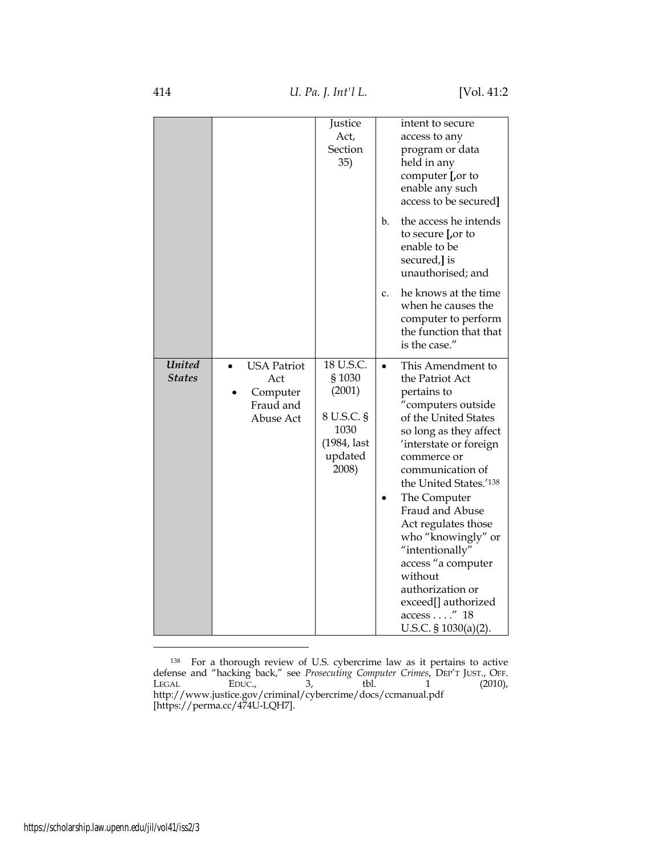|                                |                                                                 | Justice<br>Act,<br>Section<br>35)                                                     |    | intent to secure<br>access to any<br>program or data<br>held in any<br>computer [,or to<br>enable any such<br>access to be secured]                                                                                                                                                                                                                                                                                                               |
|--------------------------------|-----------------------------------------------------------------|---------------------------------------------------------------------------------------|----|---------------------------------------------------------------------------------------------------------------------------------------------------------------------------------------------------------------------------------------------------------------------------------------------------------------------------------------------------------------------------------------------------------------------------------------------------|
|                                |                                                                 |                                                                                       | b. | the access he intends<br>to secure Lor to<br>enable to be<br>secured, is<br>unauthorised; and                                                                                                                                                                                                                                                                                                                                                     |
|                                |                                                                 |                                                                                       | c. | he knows at the time<br>when he causes the<br>computer to perform<br>the function that that<br>is the case."                                                                                                                                                                                                                                                                                                                                      |
| <b>United</b><br><b>States</b> | <b>USA Patriot</b><br>Act<br>Computer<br>Fraud and<br>Abuse Act | 18 U.S.C.<br>§1030<br>(2001)<br>8 U.S.C. §<br>1030<br>(1984, last<br>updated<br>2008) |    | This Amendment to<br>the Patriot Act<br>pertains to<br>"computers outside<br>of the United States<br>so long as they affect<br>'interstate or foreign<br>commerce or<br>communication of<br>the United States.'138<br>The Computer<br>Fraud and Abuse<br>Act regulates those<br>who "knowingly" or<br>"intentionally"<br>access "a computer<br>without<br>authorization or<br>exceed[] authorized<br>$access \dots$ ." 18<br>U.S.C. § 1030(a)(2). |

<sup>&</sup>lt;sup>138</sup> For a thorough review of U.S. cybercrime law as it pertains to active defense and "hacking back," see *Prosecuting Computer Crimes*, DEP'T JUST., OFF. LEGAL EDUC., 3, tbl. 1 (2010), http://www.justice.gov/criminal/cybercrime/docs/ccmanual.pdf [https://perma.cc/474U-LQH7].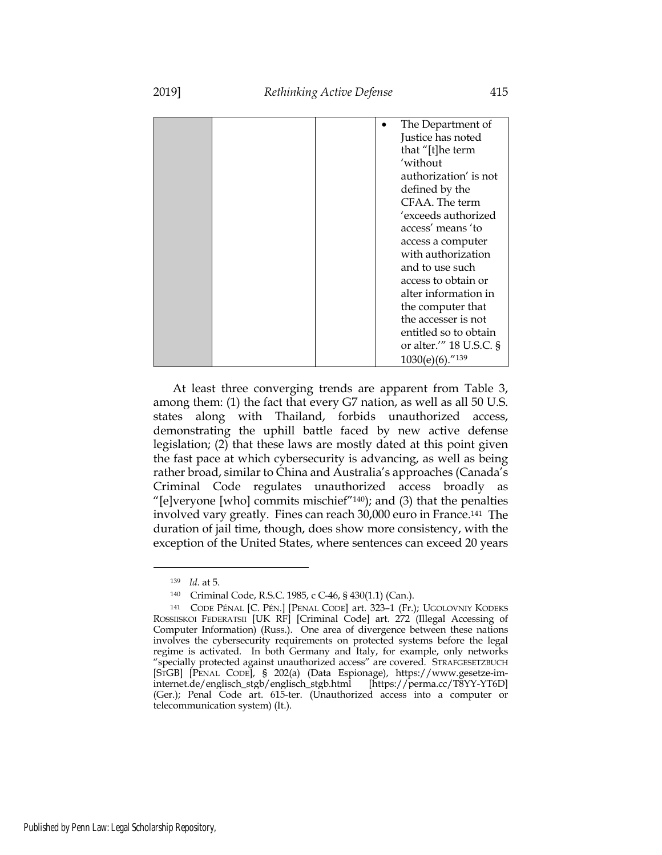|  |  | The Department of       |
|--|--|-------------------------|
|  |  | Justice has noted       |
|  |  | that "[t]he term        |
|  |  | 'without                |
|  |  | authorization' is not   |
|  |  | defined by the          |
|  |  | CFAA. The term          |
|  |  | 'exceeds authorized     |
|  |  | access' means 'to       |
|  |  | access a computer       |
|  |  | with authorization      |
|  |  | and to use such         |
|  |  | access to obtain or     |
|  |  | alter information in    |
|  |  | the computer that       |
|  |  | the accesser is not     |
|  |  | entitled so to obtain   |
|  |  | or alter.'" 18 U.S.C. § |
|  |  | $1030(e)(6)$ ."139      |

At least three converging trends are apparent from Table 3, among them: (1) the fact that every G7 nation, as well as all 50 U.S. states along with Thailand, forbids unauthorized access, demonstrating the uphill battle faced by new active defense legislation; (2) that these laws are mostly dated at this point given the fast pace at which cybersecurity is advancing, as well as being rather broad, similar to China and Australia's approaches (Canada's Criminal Code regulates unauthorized access broadly as "[e]veryone [who] commits mischief $^{\prime\prime}$ 140); and (3) that the penalties involved vary greatly. Fines can reach 30,000 euro in France.141 The duration of jail time, though, does show more consistency, with the exception of the United States, where sentences can exceed 20 years

<sup>139</sup> *Id*. at 5.

<sup>140</sup> Criminal Code, R.S.C. 1985, c C-46, § 430(1.1) (Can.).

<sup>141</sup> CODE PÉNAL [C. PÉN.] [PENAL CODE] art. 323–1 (Fr.); UGOLOVNIY KODEKS ROSSIISKOI FEDERATSII [UK RF] [Criminal Code] art. 272 (Illegal Accessing of Computer Information) (Russ.). One area of divergence between these nations involves the cybersecurity requirements on protected systems before the legal regime is activated. In both Germany and Italy, for example, only networks "specially protected against unauthorized access" are covered. STRAFGESETZBUCH [STGB] [PENAL CODE], § 202(a) (Data Espionage), https://www.gesetze-iminternet.de/englisch\_stgb/englisch\_stgb.html [https://perma.cc/T8YY-YT6D] (Ger.); Penal Code art. 615-ter. (Unauthorized access into a computer or telecommunication system) (It.).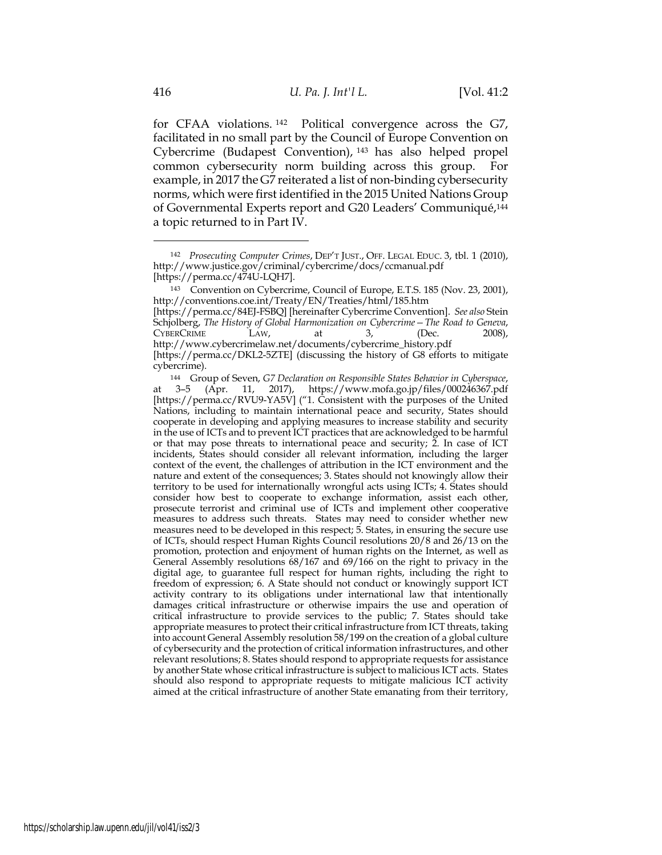for CFAA violations. <sup>142</sup> Political convergence across the G7, facilitated in no small part by the Council of Europe Convention on Cybercrime (Budapest Convention), <sup>143</sup> has also helped propel common cybersecurity norm building across this group. For example, in 2017 the G7 reiterated a list of non-binding cybersecurity norms, which were first identified in the 2015 United Nations Group of Governmental Experts report and G20 Leaders' Communiqué,144 a topic returned to in Part IV.

<sup>142</sup> *Prosecuting Computer Crimes*, DEP'T JUST., OFF. LEGAL EDUC. 3, tbl. 1 (2010), http://www.justice.gov/criminal/cybercrime/docs/ccmanual.pdf [https://perma.cc/474U-LQH7].

<sup>143</sup> Convention on Cybercrime, Council of Europe, E.T.S. 185 (Nov. 23, 2001), http://conventions.coe.int/Treaty/EN/Treaties/html/185.htm

<sup>[</sup>https://perma.cc/84EJ-FSBQ] [hereinafter Cybercrime Convention]. *See also* Stein Schjolberg, *The History of Global Harmonization on Cybercrime—The Road to Geneva*, CYBERCRIME LAW, at 3, (Dec. 2008), http://www.cybercrimelaw.net/documents/cybercrime\_history.pdf [https://perma.cc/DKL2-5ZTE] (discussing the history of G8 efforts to mitigate cybercrime).

<sup>144</sup> Group of Seven, *G7 Declaration on Responsible States Behavior in Cyberspace*, at 3–5 (Apr. 11, 2017), https://www.mofa.go.jp/files/000246367.pdf [https://perma.cc/RVU9-YA5V] ("1. Consistent with the purposes of the United Nations, including to maintain international peace and security, States should cooperate in developing and applying measures to increase stability and security in the use of ICTs and to prevent ICT practices that are acknowledged to be harmful or that may pose threats to international peace and security; 2. In case of ICT incidents, States should consider all relevant information, including the larger context of the event, the challenges of attribution in the ICT environment and the nature and extent of the consequences; 3. States should not knowingly allow their territory to be used for internationally wrongful acts using ICTs; 4. States should consider how best to cooperate to exchange information, assist each other, prosecute terrorist and criminal use of ICTs and implement other cooperative measures to address such threats. States may need to consider whether new measures need to be developed in this respect; 5. States, in ensuring the secure use of ICTs, should respect Human Rights Council resolutions 20/8 and 26/13 on the promotion, protection and enjoyment of human rights on the Internet, as well as General Assembly resolutions 68/167 and 69/166 on the right to privacy in the digital age, to guarantee full respect for human rights, including the right to freedom of expression; 6. A State should not conduct or knowingly support ICT activity contrary to its obligations under international law that intentionally damages critical infrastructure or otherwise impairs the use and operation of critical infrastructure to provide services to the public; 7. States should take appropriate measures to protect their critical infrastructure from ICT threats, taking into account General Assembly resolution 58/199 on the creation of a global culture of cybersecurity and the protection of critical information infrastructures, and other relevant resolutions; 8. States should respond to appropriate requests for assistance by another State whose critical infrastructure is subject to malicious ICT acts. States should also respond to appropriate requests to mitigate malicious ICT activity aimed at the critical infrastructure of another State emanating from their territory,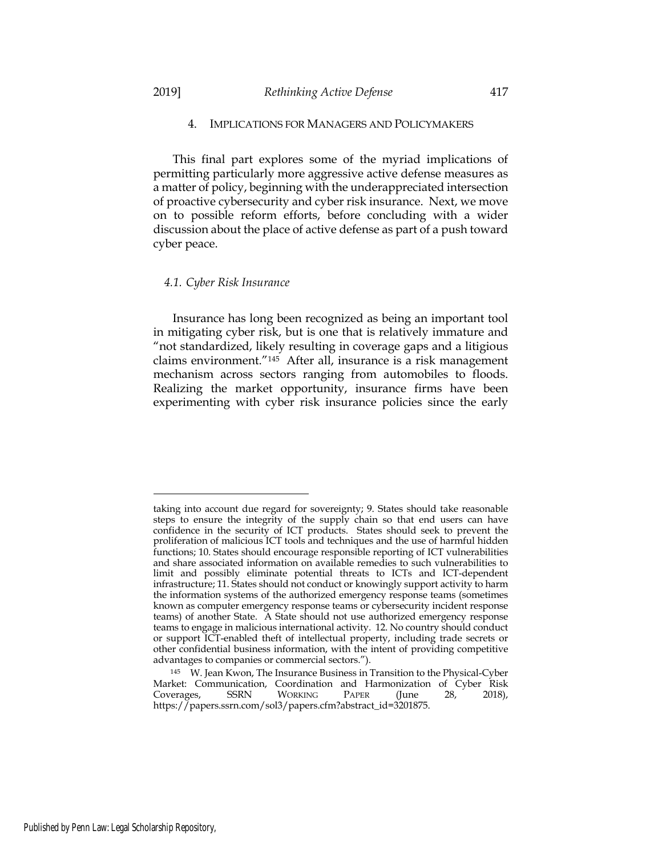## 4. IMPLICATIONS FOR MANAGERS AND POLICYMAKERS

This final part explores some of the myriad implications of permitting particularly more aggressive active defense measures as a matter of policy, beginning with the underappreciated intersection of proactive cybersecurity and cyber risk insurance. Next, we move on to possible reform efforts, before concluding with a wider discussion about the place of active defense as part of a push toward cyber peace.

#### *4.1. Cyber Risk Insurance*

Insurance has long been recognized as being an important tool in mitigating cyber risk, but is one that is relatively immature and "not standardized, likely resulting in coverage gaps and a litigious claims environment."145 After all, insurance is a risk management mechanism across sectors ranging from automobiles to floods. Realizing the market opportunity, insurance firms have been experimenting with cyber risk insurance policies since the early

taking into account due regard for sovereignty; 9. States should take reasonable steps to ensure the integrity of the supply chain so that end users can have confidence in the security of ICT products. States should seek to prevent the proliferation of malicious ICT tools and techniques and the use of harmful hidden functions; 10. States should encourage responsible reporting of ICT vulnerabilities and share associated information on available remedies to such vulnerabilities to limit and possibly eliminate potential threats to ICTs and ICT-dependent infrastructure; 11. States should not conduct or knowingly support activity to harm the information systems of the authorized emergency response teams (sometimes known as computer emergency response teams or cybersecurity incident response teams) of another State. A State should not use authorized emergency response teams to engage in malicious international activity. 12. No country should conduct or support ICT-enabled theft of intellectual property, including trade secrets or other confidential business information, with the intent of providing competitive advantages to companies or commercial sectors.").

<sup>145</sup> W. Jean Kwon, The Insurance Business in Transition to the Physical-Cyber Market: Communication, Coordination and Harmonization of Cyber Risk Coverages, SSRN WORKING PAPER (June 28, 2018), https://papers.ssrn.com/sol3/papers.cfm?abstract\_id=3201875.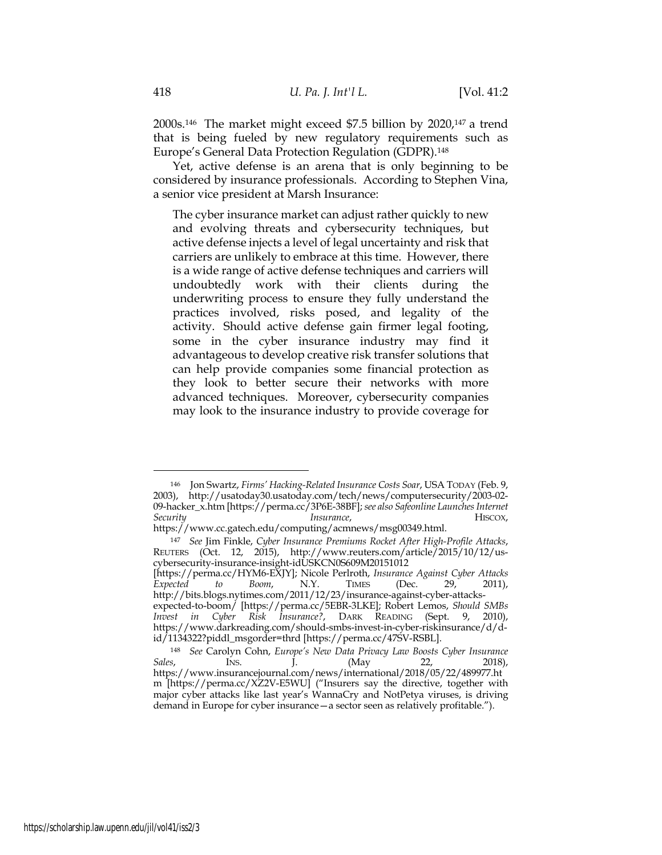2000s.146 The market might exceed \$7.5 billion by 2020,147 a trend that is being fueled by new regulatory requirements such as Europe's General Data Protection Regulation (GDPR).148

Yet, active defense is an arena that is only beginning to be considered by insurance professionals. According to Stephen Vina, a senior vice president at Marsh Insurance:

The cyber insurance market can adjust rather quickly to new and evolving threats and cybersecurity techniques, but active defense injects a level of legal uncertainty and risk that carriers are unlikely to embrace at this time. However, there is a wide range of active defense techniques and carriers will undoubtedly work with their clients during the underwriting process to ensure they fully understand the practices involved, risks posed, and legality of the activity. Should active defense gain firmer legal footing, some in the cyber insurance industry may find it advantageous to develop creative risk transfer solutions that can help provide companies some financial protection as they look to better secure their networks with more advanced techniques. Moreover, cybersecurity companies may look to the insurance industry to provide coverage for

<sup>146</sup> Jon Swartz, *Firms' Hacking-Related Insurance Costs Soar*, USA TODAY (Feb. 9, 2003), http://usatoday30.usatoday.com/tech/news/computersecurity/2003-02- 09-hacker\_x.htm [https://perma.cc/3P6E-38BF]; *see also Safeonline Launches Internet Security Insurance*, HISCOX,

https://www.cc.gatech.edu/computing/acmnews/msg00349.html.

<sup>147</sup> *See* Jim Finkle, *Cyber Insurance Premiums Rocket After High-Profile Attacks*, REUTERS (Oct. 12, 2015), http://www.reuters.com/article/2015/10/12/uscybersecurity-insurance-insight-idUSKCN0S609M20151012

<sup>[</sup>https://perma.cc/HYM6-EXJY]; Nicole Perlroth, *Insurance Against Cyber Attacks Expected to Boom*, N.Y. TIMES (Dec. 29, 2011), http://bits.blogs.nytimes.com/2011/12/23/insurance-against-cyber-attacks-

expected-to-boom/ [https://perma.cc/5EBR-3LKE]; Robert Lemos, *Should SMBs Invest in Cyber Risk Insurance?*, DARK READING (Sept. 9, 2010), https://www.darkreading.com/should-smbs-invest-in-cyber-riskinsurance/d/did/1134322?piddl\_msgorder=thrd [https://perma.cc/47SV-RSBL].

<sup>148</sup> *See* Carolyn Cohn, *Europe's New Data Privacy Law Boosts Cyber Insurance Sales*, INS. J. (May 22, 2018), https://www.insurancejournal.com/news/international/2018/05/22/489977.ht m [https://perma.cc/XZ2V-E5WU] ("Insurers say the directive, together with major cyber attacks like last year's WannaCry and NotPetya viruses, is driving demand in Europe for cyber insurance—a sector seen as relatively profitable.").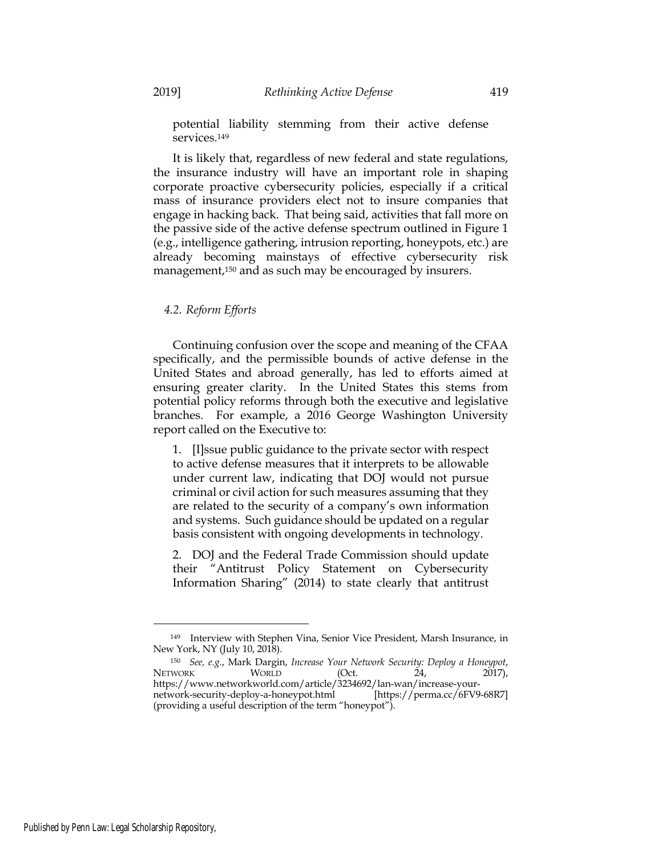potential liability stemming from their active defense services.<sup>149</sup>

It is likely that, regardless of new federal and state regulations, the insurance industry will have an important role in shaping corporate proactive cybersecurity policies, especially if a critical mass of insurance providers elect not to insure companies that engage in hacking back. That being said, activities that fall more on the passive side of the active defense spectrum outlined in Figure 1 (e.g., intelligence gathering, intrusion reporting, honeypots, etc.) are already becoming mainstays of effective cybersecurity risk management,<sup>150</sup> and as such may be encouraged by insurers.

## *4.2. Reform Efforts*

Continuing confusion over the scope and meaning of the CFAA specifically, and the permissible bounds of active defense in the United States and abroad generally, has led to efforts aimed at ensuring greater clarity. In the United States this stems from potential policy reforms through both the executive and legislative branches. For example, a 2016 George Washington University report called on the Executive to:

1. [I]ssue public guidance to the private sector with respect to active defense measures that it interprets to be allowable under current law, indicating that DOJ would not pursue criminal or civil action for such measures assuming that they are related to the security of a company's own information and systems. Such guidance should be updated on a regular basis consistent with ongoing developments in technology.

2. DOJ and the Federal Trade Commission should update their "Antitrust Policy Statement on Cybersecurity Information Sharing" (2014) to state clearly that antitrust

<sup>149</sup> Interview with Stephen Vina, Senior Vice President, Marsh Insurance, in New York, NY (July 10, 2018).

<sup>150</sup> *See, e.g.*, Mark Dargin, *Increase Your Network Security: Deploy a Honeypot*, NETWORK WORLD (Oct. 24, 2017), https://www.networkworld.com/article/3234692/lan-wan/increase-yournetwork-security-deploy-a-honeypot.html [https://perma.cc/6FV9-68R7] (providing a useful description of the term "honeypot").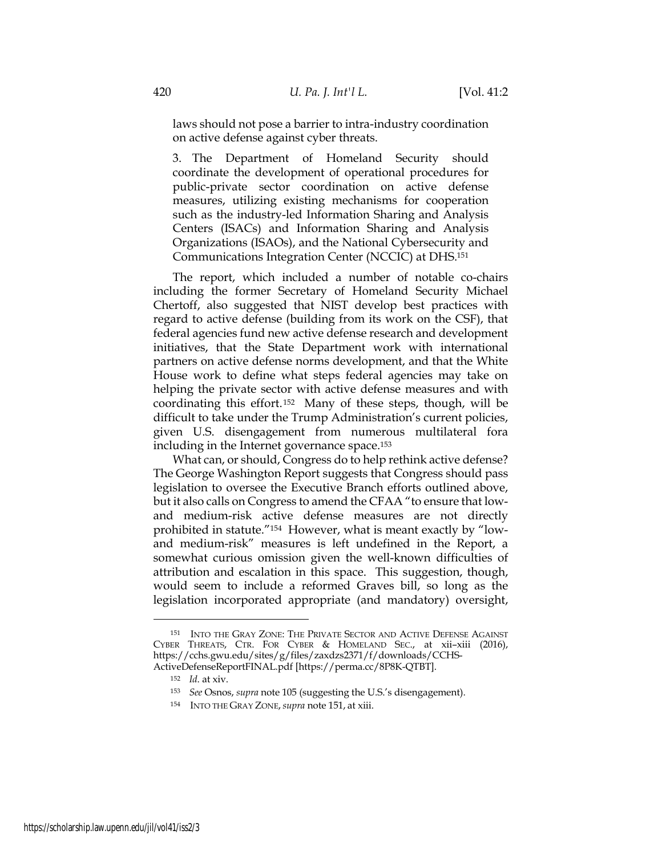laws should not pose a barrier to intra-industry coordination on active defense against cyber threats.

3. The Department of Homeland Security should coordinate the development of operational procedures for public-private sector coordination on active defense measures, utilizing existing mechanisms for cooperation such as the industry-led Information Sharing and Analysis Centers (ISACs) and Information Sharing and Analysis Organizations (ISAOs), and the National Cybersecurity and Communications Integration Center (NCCIC) at DHS.151

The report, which included a number of notable co-chairs including the former Secretary of Homeland Security Michael Chertoff, also suggested that NIST develop best practices with regard to active defense (building from its work on the CSF), that federal agencies fund new active defense research and development initiatives, that the State Department work with international partners on active defense norms development, and that the White House work to define what steps federal agencies may take on helping the private sector with active defense measures and with coordinating this effort.152 Many of these steps, though, will be difficult to take under the Trump Administration's current policies, given U.S. disengagement from numerous multilateral fora including in the Internet governance space.153

What can, or should, Congress do to help rethink active defense? The George Washington Report suggests that Congress should pass legislation to oversee the Executive Branch efforts outlined above, but it also calls on Congress to amend the CFAA "to ensure that lowand medium-risk active defense measures are not directly prohibited in statute."154 However, what is meant exactly by "lowand medium-risk" measures is left undefined in the Report, a somewhat curious omission given the well-known difficulties of attribution and escalation in this space. This suggestion, though, would seem to include a reformed Graves bill, so long as the legislation incorporated appropriate (and mandatory) oversight,

<sup>151</sup> INTO THE GRAY ZONE: THE PRIVATE SECTOR AND ACTIVE DEFENSE AGAINST CYBER THREATS, CTR. FOR CYBER & HOMELAND SEC., at xii–xiii (2016), https://cchs.gwu.edu/sites/g/files/zaxdzs2371/f/downloads/CCHS-ActiveDefenseReportFINAL.pdf [https://perma.cc/8P8K-QTBT].

<sup>152</sup> *Id*. at xiv.

<sup>153</sup> *See* Osnos, *supra* note 105 (suggesting the U.S.'s disengagement).

<sup>154</sup> INTO THE GRAY ZONE,*supra* note 151, at xiii.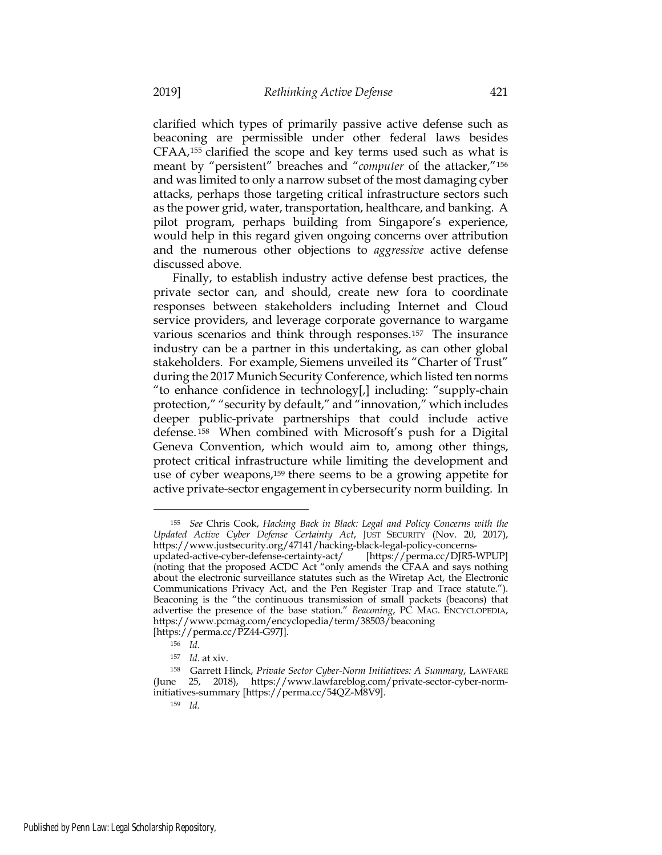clarified which types of primarily passive active defense such as beaconing are permissible under other federal laws besides CFAA,155 clarified the scope and key terms used such as what is meant by "persistent" breaches and "*computer* of the attacker,"156 and was limited to only a narrow subset of the most damaging cyber attacks, perhaps those targeting critical infrastructure sectors such as the power grid, water, transportation, healthcare, and banking. A pilot program, perhaps building from Singapore's experience, would help in this regard given ongoing concerns over attribution and the numerous other objections to *aggressive* active defense discussed above.

Finally, to establish industry active defense best practices, the private sector can, and should, create new fora to coordinate responses between stakeholders including Internet and Cloud service providers, and leverage corporate governance to wargame various scenarios and think through responses.157 The insurance industry can be a partner in this undertaking, as can other global stakeholders. For example, Siemens unveiled its "Charter of Trust" during the 2017 Munich Security Conference, which listed ten norms "to enhance confidence in technology[,] including: "supply-chain protection," "security by default," and "innovation," which includes deeper public-private partnerships that could include active defense. <sup>158</sup> When combined with Microsoft's push for a Digital Geneva Convention, which would aim to, among other things, protect critical infrastructure while limiting the development and use of cyber weapons,159 there seems to be a growing appetite for active private-sector engagement in cybersecurity norm building. In

<sup>155</sup> *See* Chris Cook, *Hacking Back in Black: Legal and Policy Concerns with the Updated Active Cyber Defense Certainty Act*, JUST SECURITY (Nov. 20, 2017), https://www.justsecurity.org/47141/hacking-black-legal-policy-concerns-

updated-active-cyber-defense-certainty-act/ [https://perma.cc/DJR5-WPUP] (noting that the proposed ACDC Act "only amends the CFAA and says nothing about the electronic surveillance statutes such as the Wiretap Act, the Electronic Communications Privacy Act, and the Pen Register Trap and Trace statute."). Beaconing is the "the continuous transmission of small packets (beacons) that advertise the presence of the base station." *Beaconing*, PC MAG. ENCYCLOPEDIA, https://www.pcmag.com/encyclopedia/term/38503/beaconing [https://perma.cc/PZ44-G97J].

<sup>156</sup> *Id*.

<sup>157</sup> *Id*. at xiv.

<sup>158</sup> Garrett Hinck, *Private Sector Cyber-Norm Initiatives: A Summary*, LAWFARE (June 25, 2018), https://www.lawfareblog.com/private-sector-cyber-norminitiatives-summary [https://perma.cc/54QZ-M8V9].

<sup>159</sup> *Id*.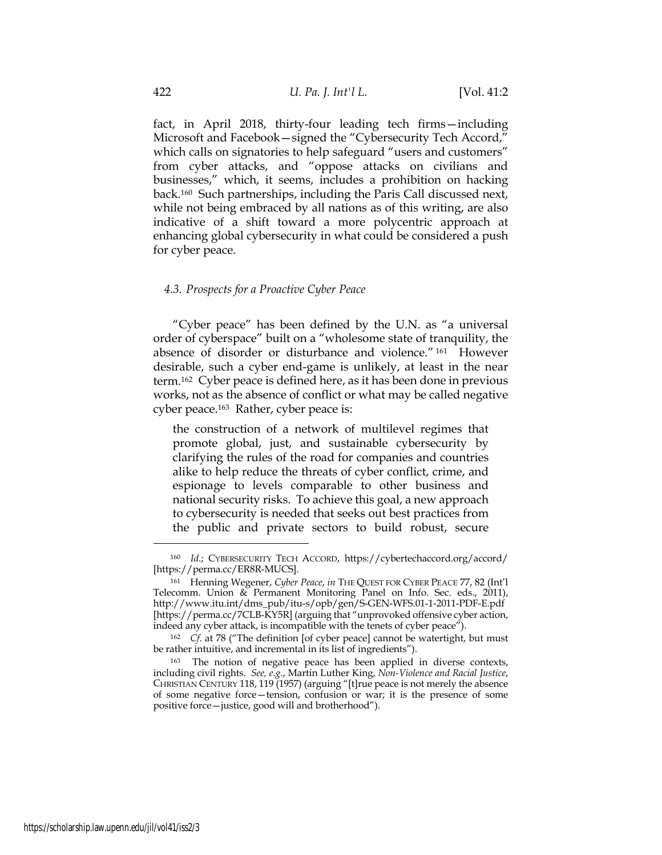fact, in April 2018, thirty-four leading tech firms—including Microsoft and Facebook—signed the "Cybersecurity Tech Accord," which calls on signatories to help safeguard "users and customers" from cyber attacks, and "oppose attacks on civilians and businesses," which, it seems, includes a prohibition on hacking back.160 Such partnerships, including the Paris Call discussed next, while not being embraced by all nations as of this writing, are also indicative of a shift toward a more polycentric approach at enhancing global cybersecurity in what could be considered a push for cyber peace.

#### *4.3. Prospects for a Proactive Cyber Peace*

"Cyber peace" has been defined by the U.N. as "a universal order of cyberspace" built on a "wholesome state of tranquility, the absence of disorder or disturbance and violence." <sup>161</sup> However desirable, such a cyber end-game is unlikely, at least in the near term.162 Cyber peace is defined here, as it has been done in previous works, not as the absence of conflict or what may be called negative cyber peace.163 Rather, cyber peace is:

the construction of a network of multilevel regimes that promote global, just, and sustainable cybersecurity by clarifying the rules of the road for companies and countries alike to help reduce the threats of cyber conflict, crime, and espionage to levels comparable to other business and national security risks. To achieve this goal, a new approach to cybersecurity is needed that seeks out best practices from the public and private sectors to build robust, secure

<sup>160</sup> *Id*.; CYBERSECURITY TECH ACCORD, https://cybertechaccord.org/accord/ [https://perma.cc/ER8R-MUCS].

<sup>161</sup> Henning Wegener, *Cyber Peace*, *in* THE QUEST FOR CYBER PEACE 77, 82 (Int'l Telecomm. Union & Permanent Monitoring Panel on Info. Sec. eds., 2011), http://www.itu.int/dms\_pub/itu-s/opb/gen/S-GEN-WFS.01-1-2011-PDF-E.pdf [https://perma.cc/7CLB-KY5R] (arguing that "unprovoked offensive cyber action, indeed any cyber attack, is incompatible with the tenets of cyber peace").

<sup>162</sup> *Cf*. at 78 ("The definition [of cyber peace] cannot be watertight, but must be rather intuitive, and incremental in its list of ingredients").

<sup>&</sup>lt;sup>163</sup> The notion of negative peace has been applied in diverse contexts, including civil rights. *See, e.g.*, Martin Luther King, *Non-Violence and Racial Justice*, CHRISTIAN CENTURY 118, 119 (1957) (arguing "[t]rue peace is not merely the absence of some negative force—tension, confusion or war; it is the presence of some positive force—justice, good will and brotherhood").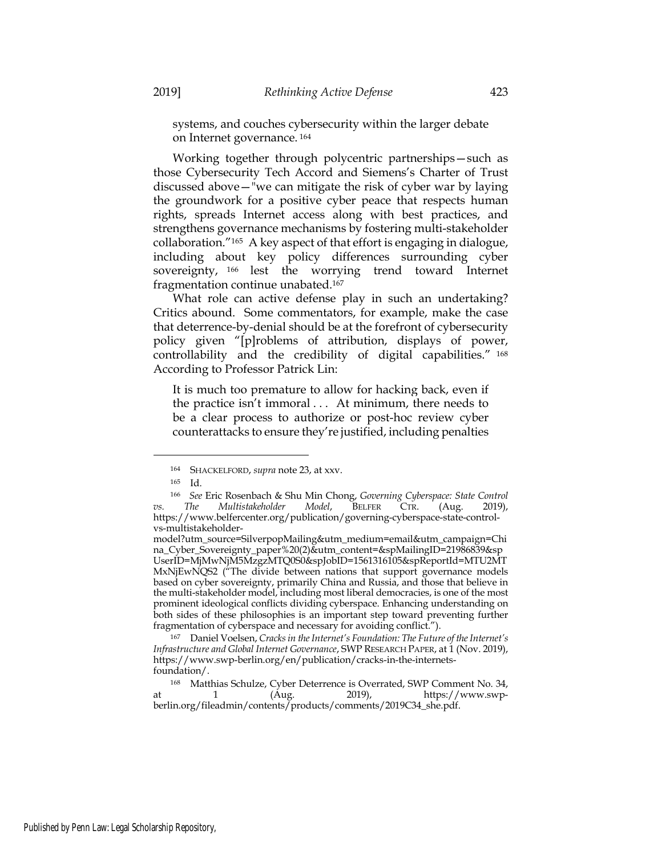systems, and couches cybersecurity within the larger debate on Internet governance. <sup>164</sup>

Working together through polycentric partnerships—such as those Cybersecurity Tech Accord and Siemens's Charter of Trust discussed above—"we can mitigate the risk of cyber war by laying the groundwork for a positive cyber peace that respects human rights, spreads Internet access along with best practices, and strengthens governance mechanisms by fostering multi-stakeholder collaboration."165 A key aspect of that effort is engaging in dialogue, including about key policy differences surrounding cyber sovereignty, <sup>166</sup> lest the worrying trend toward Internet fragmentation continue unabated.167

What role can active defense play in such an undertaking? Critics abound. Some commentators, for example, make the case that deterrence-by-denial should be at the forefront of cybersecurity policy given "[p]roblems of attribution, displays of power, controllability and the credibility of digital capabilities." <sup>168</sup> According to Professor Patrick Lin:

It is much too premature to allow for hacking back, even if the practice isn't immoral . . . At minimum, there needs to be a clear process to authorize or post-hoc review cyber counterattacks to ensure they're justified, including penalties

<sup>167</sup> Daniel Voelsen, *Cracks in the Internet's Foundation: The Future of the Internet's Infrastructure and Global Internet Governance*, SWP RESEARCH PAPER, at 1 (Nov. 2019), https://www.swp-berlin.org/en/publication/cracks-in-the-internetsfoundation/.

<sup>164</sup> SHACKELFORD, *supra* note 23, at xxv.

<sup>165</sup> Id.

<sup>166</sup> *See* Eric Rosenbach & Shu Min Chong, *Governing Cyberspace: State Control vs. The Multistakeholder Model*, BELFER CTR. (Aug. 2019), https://www.belfercenter.org/publication/governing-cyberspace-state-controlvs-multistakeholder-

model?utm\_source=SilverpopMailing&utm\_medium=email&utm\_campaign=Chi na\_Cyber\_Sovereignty\_paper%20(2)&utm\_content=&spMailingID=21986839&sp UserID=MjMwNjM5MzgzMTQ0S0&spJobID=1561316105&spReportId=MTU2MT MxNjEwNQS2 ("The divide between nations that support governance models based on cyber sovereignty, primarily China and Russia, and those that believe in the multi-stakeholder model, including most liberal democracies, is one of the most prominent ideological conflicts dividing cyberspace. Enhancing understanding on both sides of these philosophies is an important step toward preventing further fragmentation of cyberspace and necessary for avoiding conflict.").

<sup>168</sup> Matthias Schulze, Cyber Deterrence is Overrated, SWP Comment No. 34, at 1 (Aug. 2019), https://www.swpberlin.org/fileadmin/contents/products/comments/2019C34\_she.pdf.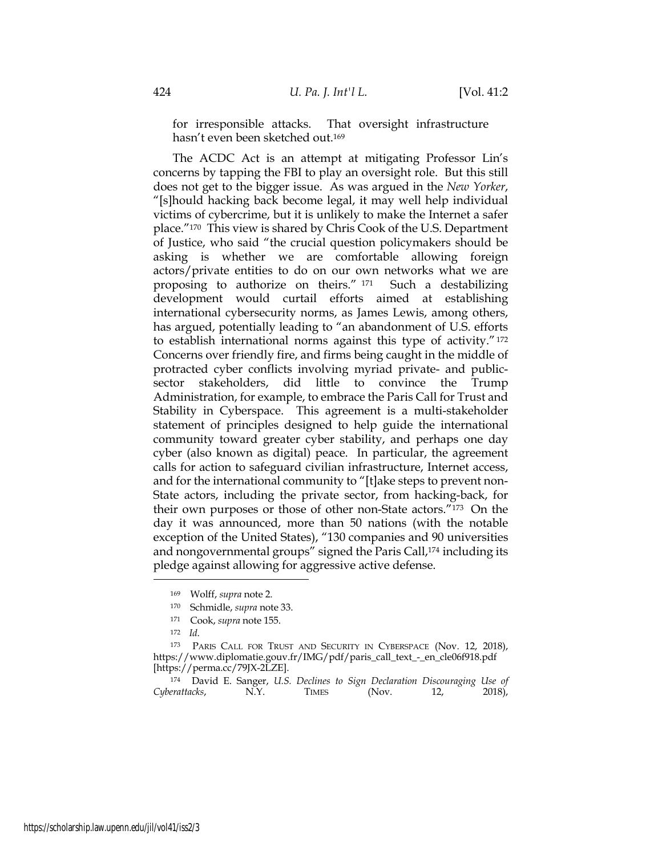for irresponsible attacks. That oversight infrastructure hasn't even been sketched out.169

The ACDC Act is an attempt at mitigating Professor Lin's concerns by tapping the FBI to play an oversight role. But this still does not get to the bigger issue. As was argued in the *New Yorker*, "[s]hould hacking back become legal, it may well help individual victims of cybercrime, but it is unlikely to make the Internet a safer place."170 This view is shared by Chris Cook of the U.S. Department of Justice, who said "the crucial question policymakers should be asking is whether we are comfortable allowing foreign actors/private entities to do on our own networks what we are proposing to authorize on theirs." <sup>171</sup> Such a destabilizing development would curtail efforts aimed at establishing international cybersecurity norms, as James Lewis, among others, has argued, potentially leading to "an abandonment of U.S. efforts to establish international norms against this type of activity."172 Concerns over friendly fire, and firms being caught in the middle of protracted cyber conflicts involving myriad private- and publicsector stakeholders, did little to convince the Trump Administration, for example, to embrace the Paris Call for Trust and Stability in Cyberspace. This agreement is a multi-stakeholder statement of principles designed to help guide the international community toward greater cyber stability, and perhaps one day cyber (also known as digital) peace. In particular, the agreement calls for action to safeguard civilian infrastructure, Internet access, and for the international community to "[t]ake steps to prevent non-State actors, including the private sector, from hacking-back, for their own purposes or those of other non-State actors."173 On the day it was announced, more than 50 nations (with the notable exception of the United States), "130 companies and 90 universities and nongovernmental groups" signed the Paris Call,<sup>174</sup> including its pledge against allowing for aggressive active defense.

<sup>169</sup> Wolff, *supra* note 2.

<sup>170</sup> Schmidle, *supra* note 33.

<sup>171</sup> Cook, *supra* note 155.

<sup>172</sup> *Id*.

<sup>173</sup> PARIS CALL FOR TRUST AND SECURITY IN CYBERSPACE (Nov. 12, 2018), https://www.diplomatie.gouv.fr/IMG/pdf/paris\_call\_text\_-\_en\_cle06f918.pdf [https://perma.cc/79JX-2LZE].

<sup>174</sup> David E. Sanger, *U.S. Declines to Sign Declaration Discouraging Use of Cyberattacks*, N.Y. TIMES (Nov. 12, 2018),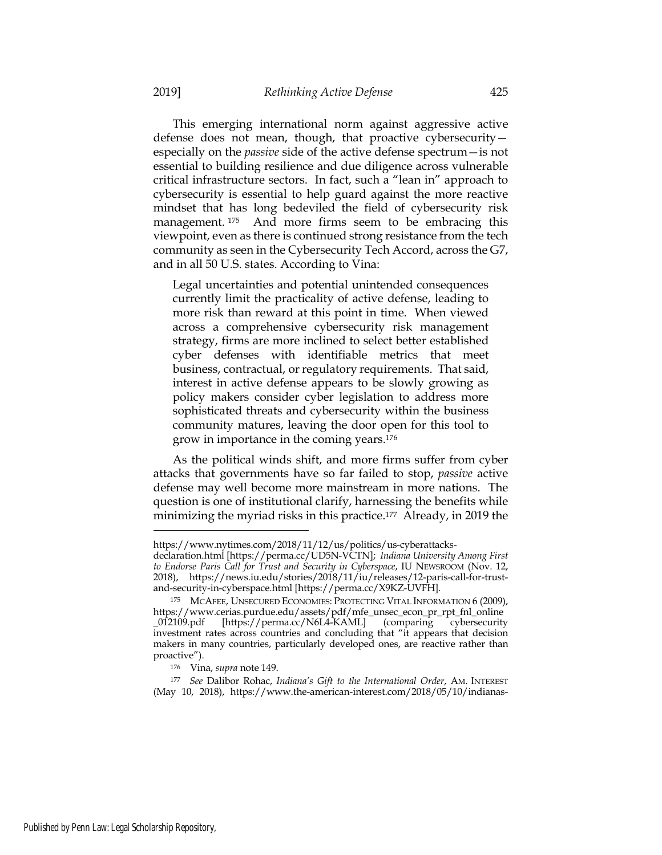This emerging international norm against aggressive active defense does not mean, though, that proactive cybersecurity especially on the *passive* side of the active defense spectrum—is not essential to building resilience and due diligence across vulnerable critical infrastructure sectors. In fact, such a "lean in" approach to cybersecurity is essential to help guard against the more reactive mindset that has long bedeviled the field of cybersecurity risk management. <sup>175</sup> And more firms seem to be embracing this viewpoint, even as there is continued strong resistance from the tech community as seen in the Cybersecurity Tech Accord, across the G7, and in all 50 U.S. states. According to Vina:

Legal uncertainties and potential unintended consequences currently limit the practicality of active defense, leading to more risk than reward at this point in time. When viewed across a comprehensive cybersecurity risk management strategy, firms are more inclined to select better established cyber defenses with identifiable metrics that meet business, contractual, or regulatory requirements. That said, interest in active defense appears to be slowly growing as policy makers consider cyber legislation to address more sophisticated threats and cybersecurity within the business community matures, leaving the door open for this tool to grow in importance in the coming years.176

As the political winds shift, and more firms suffer from cyber attacks that governments have so far failed to stop, *passive* active defense may well become more mainstream in more nations. The question is one of institutional clarify, harnessing the benefits while minimizing the myriad risks in this practice.<sup>177</sup> Already, in 2019 the

https://www.nytimes.com/2018/11/12/us/politics/us-cyberattacks-

declaration.html [https://perma.cc/UD5N-VCTN]; *Indiana University Among First to Endorse Paris Call for Trust and Security in Cyberspace*, IU NEWSROOM (Nov. 12, 2018), https://news.iu.edu/stories/2018/11/iu/releases/12-paris-call-for-trustand-security-in-cyberspace.html [https://perma.cc/X9KZ-UVFH].

<sup>175</sup> MCAFEE, UNSECURED ECONOMIES: PROTECTING VITAL INFORMATION 6 (2009), https://www.cerias.purdue.edu/assets/pdf/mfe\_unsec\_econ\_pr\_rpt\_fnl\_online \_012109.pdf [https://perma.cc/N6L4-KAML] (comparing cybersecurity investment rates across countries and concluding that "it appears that decision makers in many countries, particularly developed ones, are reactive rather than proactive").

<sup>176</sup> Vina, *supra* note 149.

<sup>177</sup> *See* Dalibor Rohac, *Indiana's Gift to the International Order*, AM. INTEREST (May 10, 2018), https://www.the-american-interest.com/2018/05/10/indianas-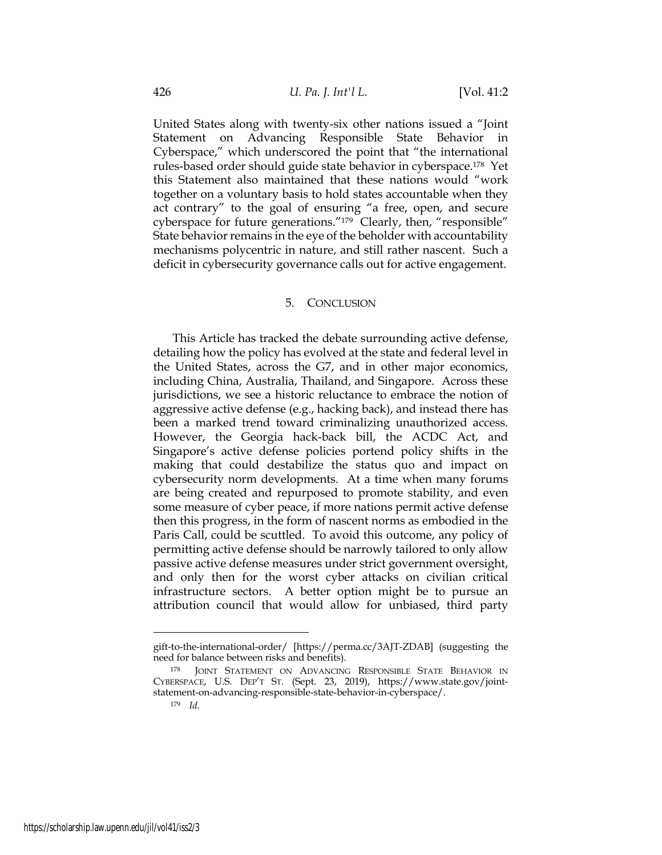United States along with twenty-six other nations issued a "Joint Statement on Advancing Responsible State Behavior in Cyberspace," which underscored the point that "the international rules-based order should guide state behavior in cyberspace.178 Yet this Statement also maintained that these nations would "work together on a voluntary basis to hold states accountable when they act contrary" to the goal of ensuring "a free, open, and secure cyberspace for future generations."179 Clearly, then, "responsible" State behavior remains in the eye of the beholder with accountability mechanisms polycentric in nature, and still rather nascent. Such a deficit in cybersecurity governance calls out for active engagement.

## 5. CONCLUSION

This Article has tracked the debate surrounding active defense, detailing how the policy has evolved at the state and federal level in the United States, across the G7, and in other major economics, including China, Australia, Thailand, and Singapore. Across these jurisdictions, we see a historic reluctance to embrace the notion of aggressive active defense (e.g., hacking back), and instead there has been a marked trend toward criminalizing unauthorized access. However, the Georgia hack-back bill, the ACDC Act, and Singapore's active defense policies portend policy shifts in the making that could destabilize the status quo and impact on cybersecurity norm developments. At a time when many forums are being created and repurposed to promote stability, and even some measure of cyber peace, if more nations permit active defense then this progress, in the form of nascent norms as embodied in the Paris Call, could be scuttled. To avoid this outcome, any policy of permitting active defense should be narrowly tailored to only allow passive active defense measures under strict government oversight, and only then for the worst cyber attacks on civilian critical infrastructure sectors. A better option might be to pursue an attribution council that would allow for unbiased, third party

gift-to-the-international-order/ [https://perma.cc/3AJT-ZDAB] (suggesting the need for balance between risks and benefits).

<sup>178</sup> JOINT STATEMENT ON ADVANCING RESPONSIBLE STATE BEHAVIOR IN CYBERSPACE, U.S. DEP'T ST. (Sept. 23, 2019), https://www.state.gov/jointstatement-on-advancing-responsible-state-behavior-in-cyberspace/.

<sup>179</sup> *Id*.